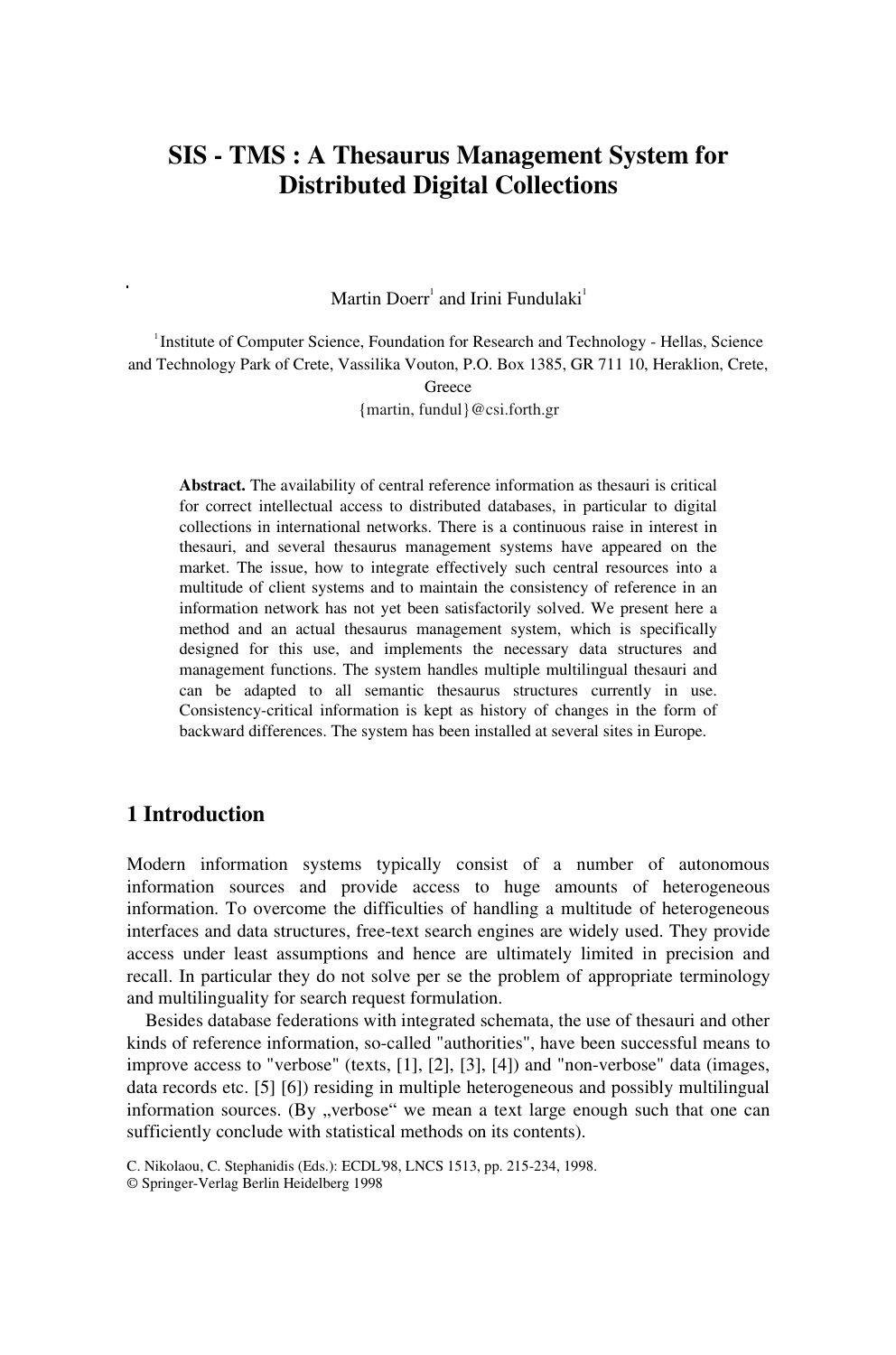# **SIS - TMS : A Thesaurus Management System for Distributed Digital Collections**

Martin Doerr<sup>1</sup> and Irini Fundulaki<sup>1</sup>

<sup>1</sup> Institute of Computer Science, Foundation for Research and Technology - Hellas, Science and Technology Park of Crete, Vassilika Vouton, P.O. Box 1385, GR 711 10, Heraklion, Crete,

**Greece** {martin, fundul}@csi.forth.gr

**Abstract.** The availability of central reference information as thesauri is critical for correct intellectual access to distributed databases, in particular to digital collections in international networks. There is a continuous raise in interest in thesauri, and several thesaurus management systems have appeared on the market. The issue, how to integrate effectively such central resources into a multitude of client systems and to maintain the consistency of reference in an information network has not yet been satisfactorily solved. We present here a method and an actual thesaurus management system, which is specifically designed for this use, and implements the necessary data structures and management functions. The system handles multiple multilingual thesauri and can be adapted to all semantic thesaurus structures currently in use. Consistency-critical information is kept as history of changes in the form of backward differences. The system has been installed at several sites in Europe.

# **1 Introduction**

Modern information systems typically consist of a number of autonomous information sources and provide access to huge amounts of heterogeneous information. To overcome the difficulties of handling a multitude of heterogeneous interfaces and data structures, free-text search engines are widely used. They provide access under least assumptions and hence are ultimately limited in precision and recall. In particular they do not solve per se the problem of appropriate terminology and multilinguality for search request formulation.

 Besides database federations with integrated schemata, the use of thesauri and other kinds of reference information, so-called "authorities", have been successful means to improve access to "verbose" (texts, [1], [2], [3], [4]) and "non-verbose" data (images, data records etc. [5] [6]) residing in multiple heterogeneous and possibly multilingual information sources. (By  $\alpha$  verbose" we mean a text large enough such that one can sufficiently conclude with statistical methods on its contents).

C. Nikolaou, C. Stephanidis (Eds.): ECDL'98, LNCS 1513, pp. 215-234, 1998.

© Springer-Verlag Berlin Heidelberg 1998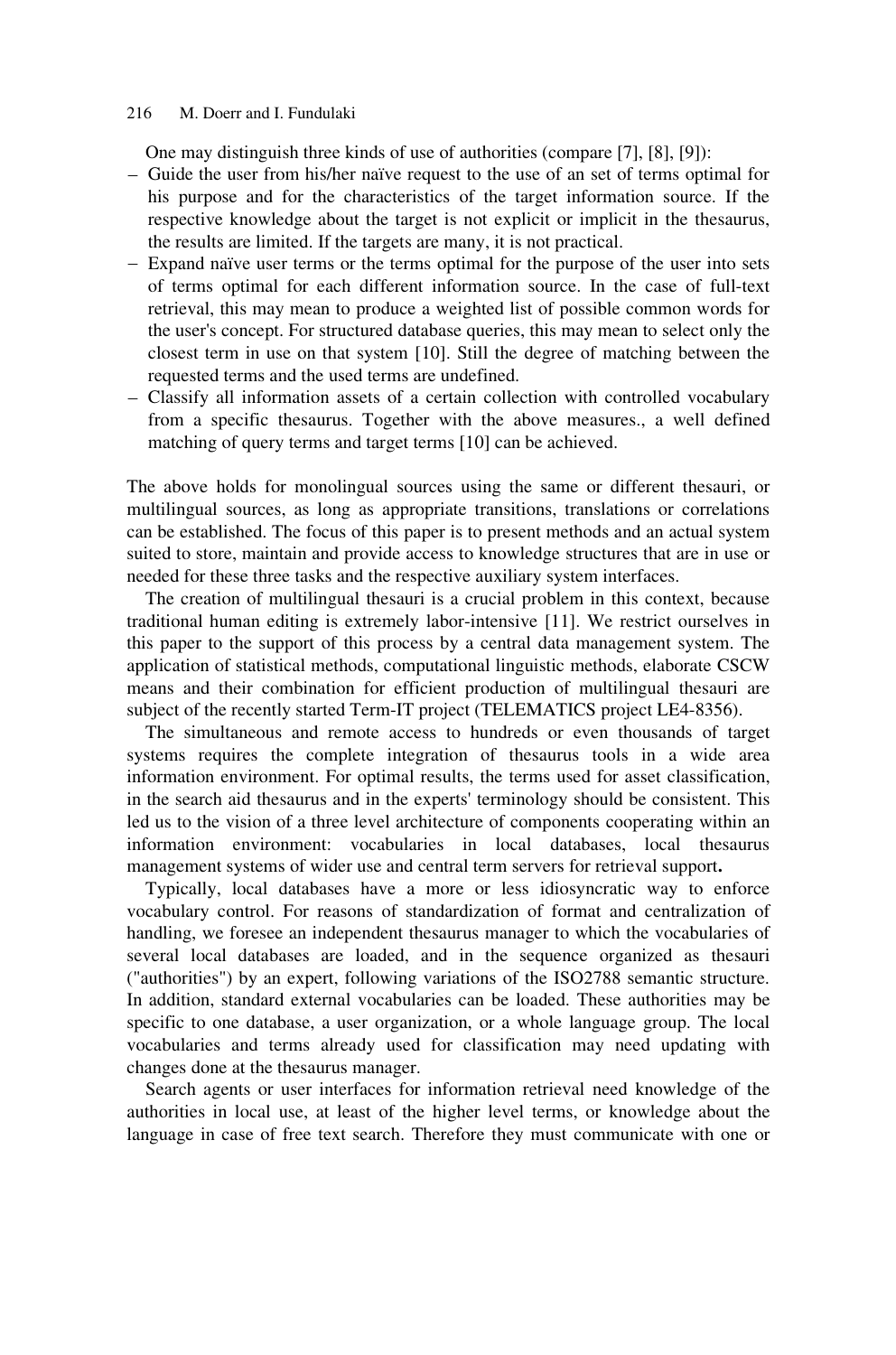One may distinguish three kinds of use of authorities (compare [7], [8], [9]):

- Guide the user from his/her naïve request to the use of an set of terms optimal for his purpose and for the characteristics of the target information source. If the respective knowledge about the target is not explicit or implicit in the thesaurus, the results are limited. If the targets are many, it is not practical.
- Expand naïve user terms or the terms optimal for the purpose of the user into sets of terms optimal for each different information source. In the case of full-text retrieval, this may mean to produce a weighted list of possible common words for the user's concept. For structured database queries, this may mean to select only the closest term in use on that system [10]. Still the degree of matching between the requested terms and the used terms are undefined.
- Classify all information assets of a certain collection with controlled vocabulary from a specific thesaurus. Together with the above measures., a well defined matching of query terms and target terms [10] can be achieved.

The above holds for monolingual sources using the same or different thesauri, or multilingual sources, as long as appropriate transitions, translations or correlations can be established. The focus of this paper is to present methods and an actual system suited to store, maintain and provide access to knowledge structures that are in use or needed for these three tasks and the respective auxiliary system interfaces.

 The creation of multilingual thesauri is a crucial problem in this context, because traditional human editing is extremely labor-intensive [11]. We restrict ourselves in this paper to the support of this process by a central data management system. The application of statistical methods, computational linguistic methods, elaborate CSCW means and their combination for efficient production of multilingual thesauri are subject of the recently started Term-IT project (TELEMATICS project LE4-8356).

 The simultaneous and remote access to hundreds or even thousands of target systems requires the complete integration of thesaurus tools in a wide area information environment. For optimal results, the terms used for asset classification, in the search aid thesaurus and in the experts' terminology should be consistent. This led us to the vision of a three level architecture of components cooperating within an information environment: vocabularies in local databases, local thesaurus management systems of wider use and central term servers for retrieval support**.**

 Typically, local databases have a more or less idiosyncratic way to enforce vocabulary control. For reasons of standardization of format and centralization of handling, we foresee an independent thesaurus manager to which the vocabularies of several local databases are loaded, and in the sequence organized as thesauri ("authorities") by an expert, following variations of the ISO2788 semantic structure. In addition, standard external vocabularies can be loaded. These authorities may be specific to one database, a user organization, or a whole language group. The local vocabularies and terms already used for classification may need updating with changes done at the thesaurus manager.

 Search agents or user interfaces for information retrieval need knowledge of the authorities in local use, at least of the higher level terms, or knowledge about the language in case of free text search. Therefore they must communicate with one or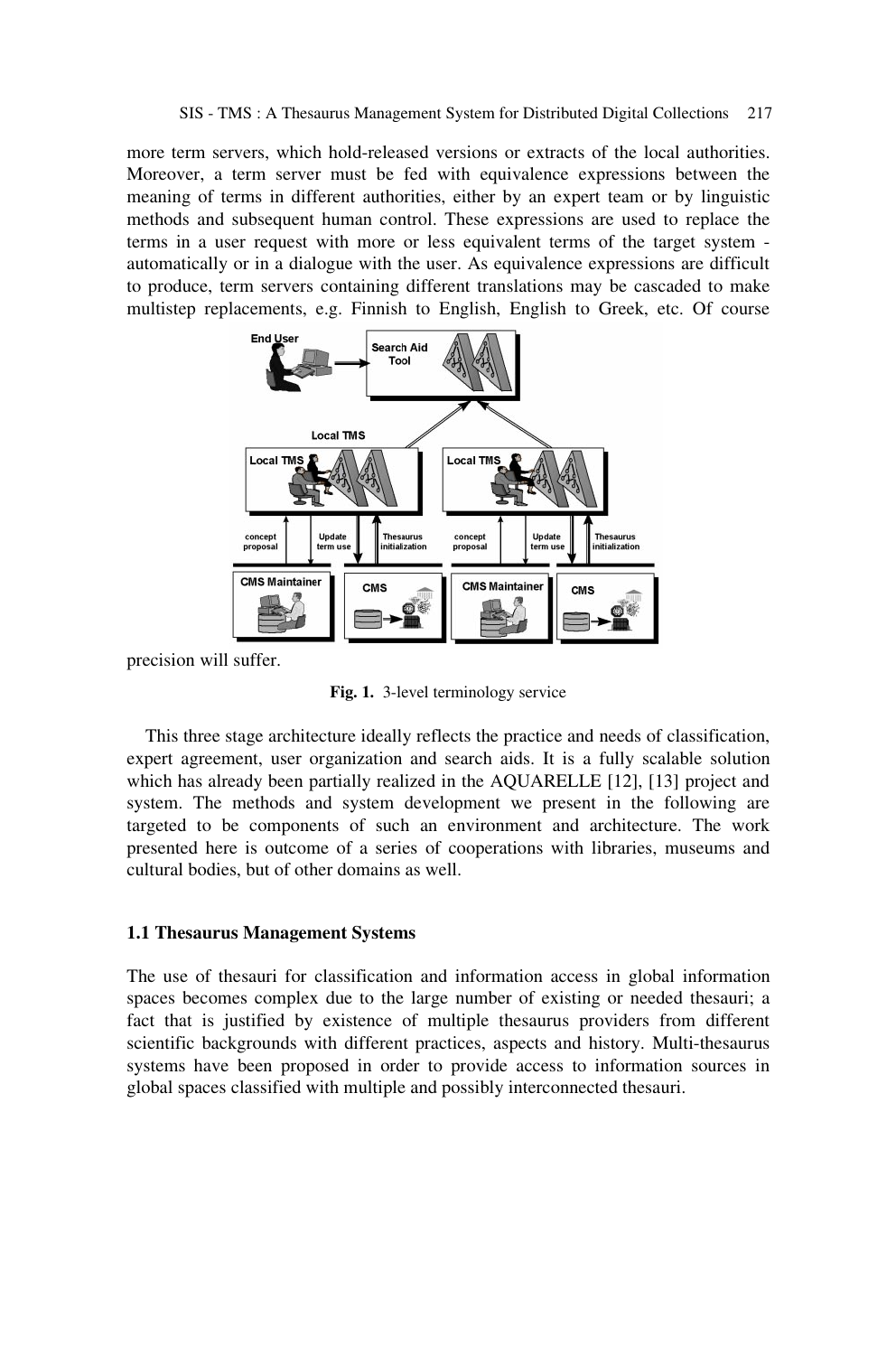more term servers, which hold-released versions or extracts of the local authorities. Moreover, a term server must be fed with equivalence expressions between the meaning of terms in different authorities, either by an expert team or by linguistic methods and subsequent human control. These expressions are used to replace the terms in a user request with more or less equivalent terms of the target system automatically or in a dialogue with the user. As equivalence expressions are difficult to produce, term servers containing different translations may be cascaded to make multistep replacements, e.g. Finnish to English, English to Greek, etc. Of course



precision will suffer.

**Fig. 1.** 3-level terminology service

 This three stage architecture ideally reflects the practice and needs of classification, expert agreement, user organization and search aids. It is a fully scalable solution which has already been partially realized in the AQUARELLE [12], [13] project and system. The methods and system development we present in the following are targeted to be components of such an environment and architecture. The work presented here is outcome of a series of cooperations with libraries, museums and cultural bodies, but of other domains as well.

# **1.1 Thesaurus Management Systems**

The use of thesauri for classification and information access in global information spaces becomes complex due to the large number of existing or needed thesauri; a fact that is justified by existence of multiple thesaurus providers from different scientific backgrounds with different practices, aspects and history. Multi-thesaurus systems have been proposed in order to provide access to information sources in global spaces classified with multiple and possibly interconnected thesauri.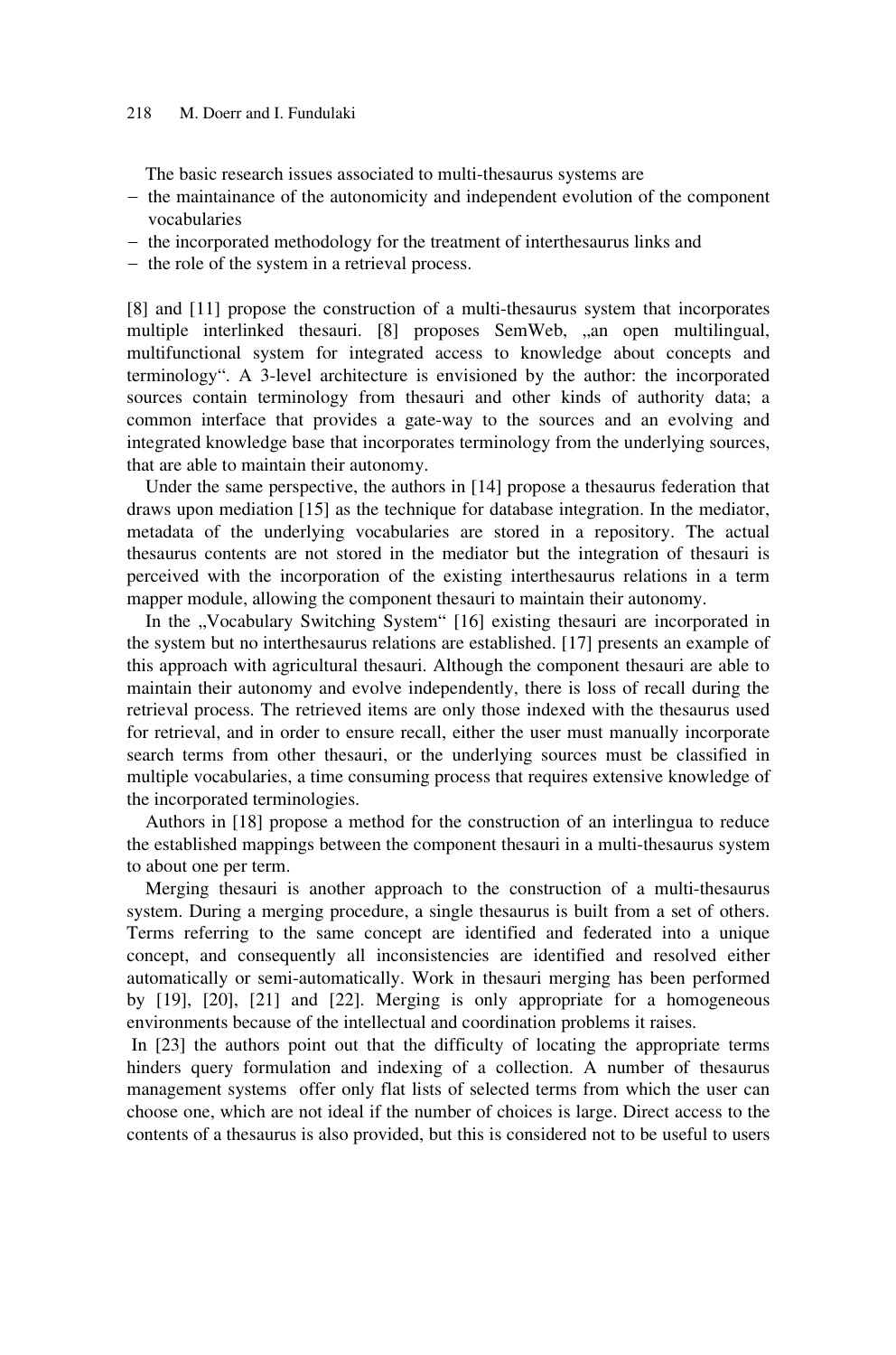The basic research issues associated to multi-thesaurus systems are

- the maintainance of the autonomicity and independent evolution of the component vocabularies
- the incorporated methodology for the treatment of interthesaurus links and
- the role of the system in a retrieval process.

[8] and [11] propose the construction of a multi-thesaurus system that incorporates multiple interlinked thesauri. [8] proposes SemWeb, "an open multilingual, multifunctional system for integrated access to knowledge about concepts and terminology". A 3-level architecture is envisioned by the author: the incorporated sources contain terminology from thesauri and other kinds of authority data; a common interface that provides a gate-way to the sources and an evolving and integrated knowledge base that incorporates terminology from the underlying sources, that are able to maintain their autonomy.

 Under the same perspective, the authors in [14] propose a thesaurus federation that draws upon mediation [15] as the technique for database integration. In the mediator, metadata of the underlying vocabularies are stored in a repository. The actual thesaurus contents are not stored in the mediator but the integration of thesauri is perceived with the incorporation of the existing interthesaurus relations in a term mapper module, allowing the component thesauri to maintain their autonomy.

In the "Vocabulary Switching System" [16] existing thesauri are incorporated in the system but no interthesaurus relations are established. [17] presents an example of this approach with agricultural thesauri. Although the component thesauri are able to maintain their autonomy and evolve independently, there is loss of recall during the retrieval process. The retrieved items are only those indexed with the thesaurus used for retrieval, and in order to ensure recall, either the user must manually incorporate search terms from other thesauri, or the underlying sources must be classified in multiple vocabularies, a time consuming process that requires extensive knowledge of the incorporated terminologies.

 Authors in [18] propose a method for the construction of an interlingua to reduce the established mappings between the component thesauri in a multi-thesaurus system to about one per term.

 Merging thesauri is another approach to the construction of a multi-thesaurus system. During a merging procedure, a single thesaurus is built from a set of others. Terms referring to the same concept are identified and federated into a unique concept, and consequently all inconsistencies are identified and resolved either automatically or semi-automatically. Work in thesauri merging has been performed by [19], [20], [21] and [22]. Merging is only appropriate for a homogeneous environments because of the intellectual and coordination problems it raises.

 In [23] the authors point out that the difficulty of locating the appropriate terms hinders query formulation and indexing of a collection. A number of thesaurus management systems offer only flat lists of selected terms from which the user can choose one, which are not ideal if the number of choices is large. Direct access to the contents of a thesaurus is also provided, but this is considered not to be useful to users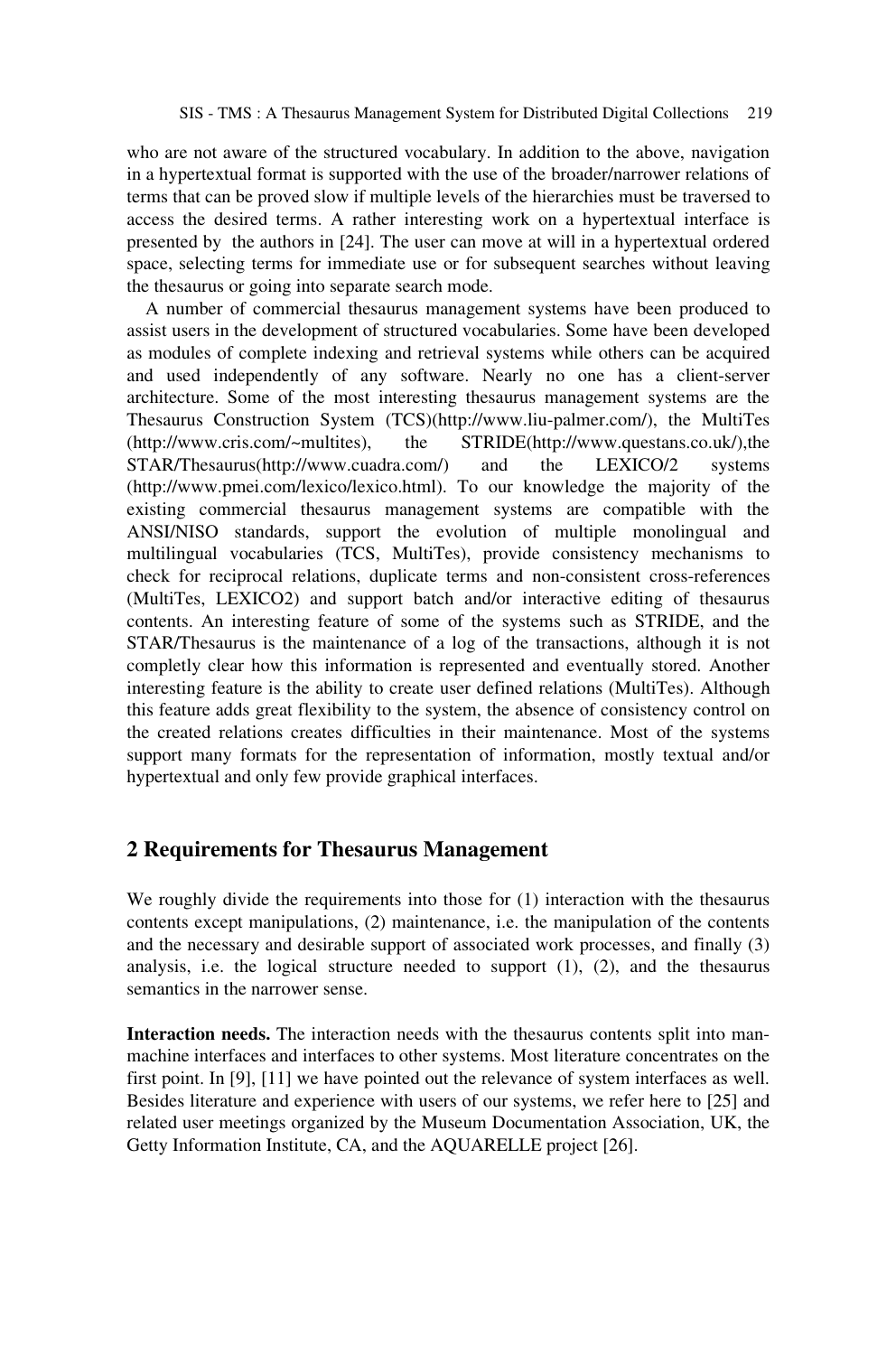who are not aware of the structured vocabulary. In addition to the above, navigation in a hypertextual format is supported with the use of the broader/narrower relations of terms that can be proved slow if multiple levels of the hierarchies must be traversed to access the desired terms. A rather interesting work on a hypertextual interface is presented by the authors in [24]. The user can move at will in a hypertextual ordered space, selecting terms for immediate use or for subsequent searches without leaving the thesaurus or going into separate search mode.

 A number of commercial thesaurus management systems have been produced to assist users in the development of structured vocabularies. Some have been developed as modules of complete indexing and retrieval systems while others can be acquired and used independently of any software. Nearly no one has a client-server architecture. Some of the most interesting thesaurus management systems are the Thesaurus Construction System (TCS)(http://www.liu-palmer.com/), the MultiTes (http://www.cris.com/~multites), the STRIDE(http://www.questans.co.uk/),the STAR/Thesaurus(http://www.cuadra.com/) and the LEXICO/2 systems (http://www.pmei.com/lexico/lexico.html). To our knowledge the majority of the existing commercial thesaurus management systems are compatible with the ANSI/NISO standards, support the evolution of multiple monolingual and multilingual vocabularies (TCS, MultiTes), provide consistency mechanisms to check for reciprocal relations, duplicate terms and non-consistent cross-references (MultiTes, LEXICO2) and support batch and/or interactive editing of thesaurus contents. An interesting feature of some of the systems such as STRIDE, and the STAR/Thesaurus is the maintenance of a log of the transactions, although it is not completly clear how this information is represented and eventually stored. Another interesting feature is the ability to create user defined relations (MultiTes). Although this feature adds great flexibility to the system, the absence of consistency control on the created relations creates difficulties in their maintenance. Most of the systems support many formats for the representation of information, mostly textual and/or hypertextual and only few provide graphical interfaces.

# **2 Requirements for Thesaurus Management**

We roughly divide the requirements into those for (1) interaction with the thesaurus contents except manipulations, (2) maintenance, i.e. the manipulation of the contents and the necessary and desirable support of associated work processes, and finally (3) analysis, i.e. the logical structure needed to support  $(1)$ ,  $(2)$ , and the thesaurus semantics in the narrower sense.

**Interaction needs.** The interaction needs with the thesaurus contents split into manmachine interfaces and interfaces to other systems. Most literature concentrates on the first point. In [9], [11] we have pointed out the relevance of system interfaces as well. Besides literature and experience with users of our systems, we refer here to [25] and related user meetings organized by the Museum Documentation Association, UK, the Getty Information Institute, CA, and the AQUARELLE project [26].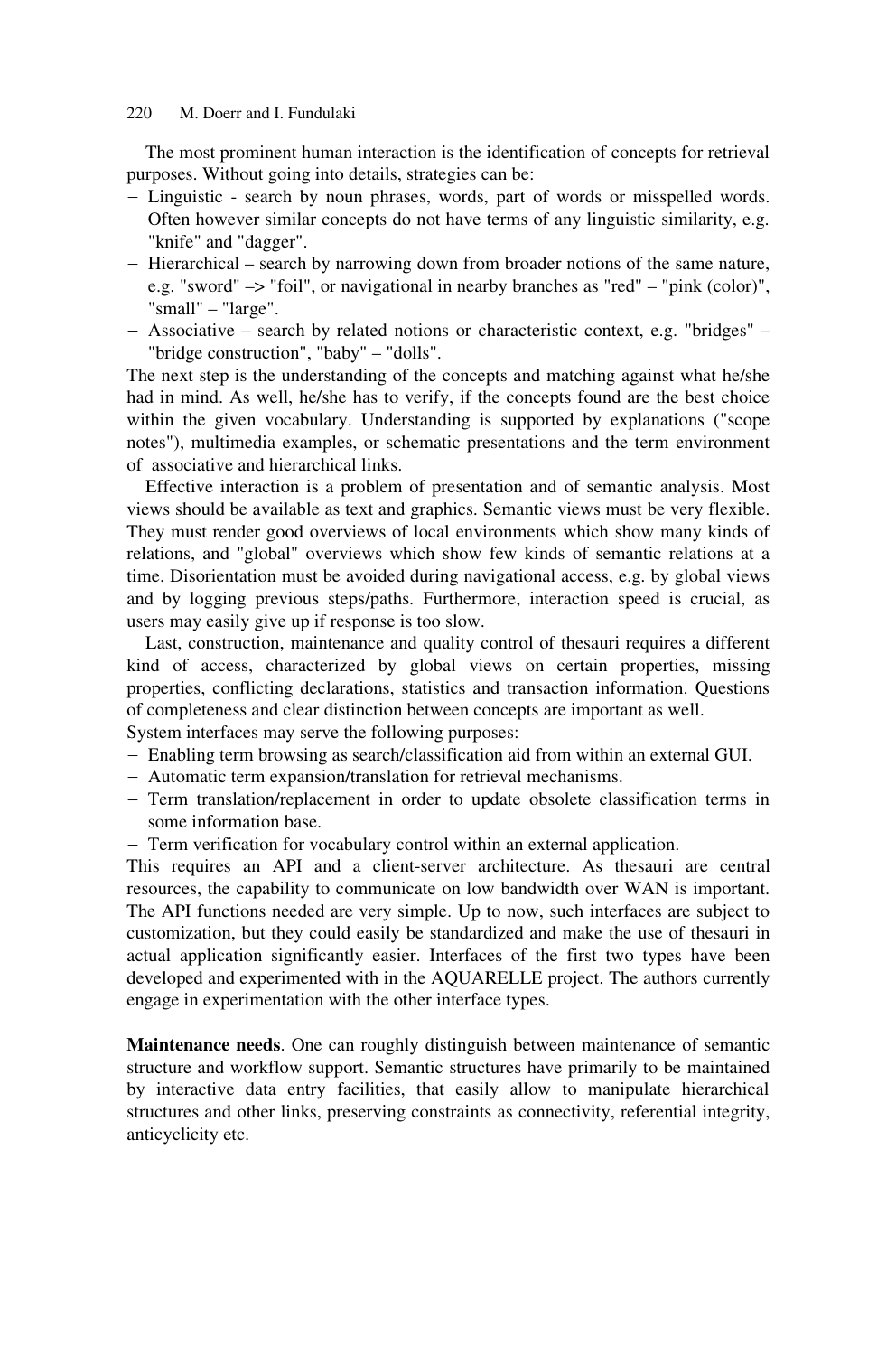The most prominent human interaction is the identification of concepts for retrieval purposes. Without going into details, strategies can be:

- Linguistic search by noun phrases, words, part of words or misspelled words. Often however similar concepts do not have terms of any linguistic similarity, e.g. "knife" and "dagger".
- Hierarchical search by narrowing down from broader notions of the same nature, e.g. "sword" –> "foil", or navigational in nearby branches as "red" – "pink (color)", "small" – "large".
- Associative search by related notions or characteristic context, e.g. "bridges" "bridge construction", "baby" – "dolls".

The next step is the understanding of the concepts and matching against what he/she had in mind. As well, he/she has to verify, if the concepts found are the best choice within the given vocabulary. Understanding is supported by explanations ("scope notes"), multimedia examples, or schematic presentations and the term environment of associative and hierarchical links.

 Effective interaction is a problem of presentation and of semantic analysis. Most views should be available as text and graphics. Semantic views must be very flexible. They must render good overviews of local environments which show many kinds of relations, and "global" overviews which show few kinds of semantic relations at a time. Disorientation must be avoided during navigational access, e.g. by global views and by logging previous steps/paths. Furthermore, interaction speed is crucial, as users may easily give up if response is too slow.

 Last, construction, maintenance and quality control of thesauri requires a different kind of access, characterized by global views on certain properties, missing properties, conflicting declarations, statistics and transaction information. Questions of completeness and clear distinction between concepts are important as well.

System interfaces may serve the following purposes:

- Enabling term browsing as search/classification aid from within an external GUI.
- Automatic term expansion/translation for retrieval mechanisms.
- Term translation/replacement in order to update obsolete classification terms in some information base.
- Term verification for vocabulary control within an external application.

This requires an API and a client-server architecture. As thesauri are central resources, the capability to communicate on low bandwidth over WAN is important. The API functions needed are very simple. Up to now, such interfaces are subject to customization, but they could easily be standardized and make the use of thesauri in actual application significantly easier. Interfaces of the first two types have been developed and experimented with in the AQUARELLE project. The authors currently engage in experimentation with the other interface types.

**Maintenance needs**. One can roughly distinguish between maintenance of semantic structure and workflow support. Semantic structures have primarily to be maintained by interactive data entry facilities, that easily allow to manipulate hierarchical structures and other links, preserving constraints as connectivity, referential integrity, anticyclicity etc.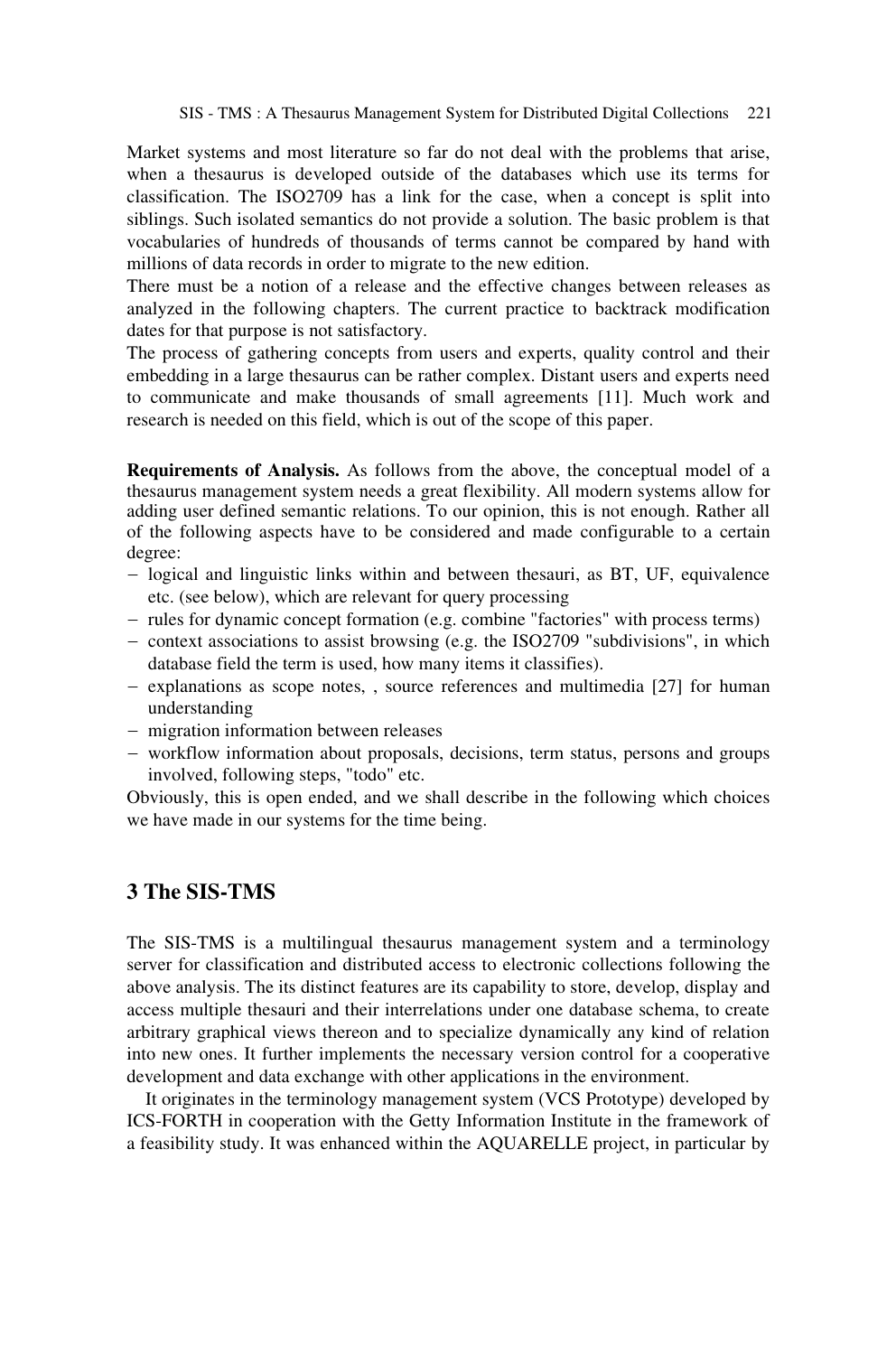Market systems and most literature so far do not deal with the problems that arise, when a thesaurus is developed outside of the databases which use its terms for classification. The ISO2709 has a link for the case, when a concept is split into siblings. Such isolated semantics do not provide a solution. The basic problem is that vocabularies of hundreds of thousands of terms cannot be compared by hand with millions of data records in order to migrate to the new edition.

There must be a notion of a release and the effective changes between releases as analyzed in the following chapters. The current practice to backtrack modification dates for that purpose is not satisfactory.

The process of gathering concepts from users and experts, quality control and their embedding in a large thesaurus can be rather complex. Distant users and experts need to communicate and make thousands of small agreements [11]. Much work and research is needed on this field, which is out of the scope of this paper.

**Requirements of Analysis.** As follows from the above, the conceptual model of a thesaurus management system needs a great flexibility. All modern systems allow for adding user defined semantic relations. To our opinion, this is not enough. Rather all of the following aspects have to be considered and made configurable to a certain degree:

- logical and linguistic links within and between thesauri, as BT, UF, equivalence etc. (see below), which are relevant for query processing
- rules for dynamic concept formation (e.g. combine "factories" with process terms)
- context associations to assist browsing (e.g. the ISO2709 "subdivisions", in which database field the term is used, how many items it classifies).
- explanations as scope notes, , source references and multimedia [27] for human understanding
- migration information between releases
- workflow information about proposals, decisions, term status, persons and groups involved, following steps, "todo" etc.

Obviously, this is open ended, and we shall describe in the following which choices we have made in our systems for the time being.

### **3 The SIS-TMS**

The SIS-TMS is a multilingual thesaurus management system and a terminology server for classification and distributed access to electronic collections following the above analysis. The its distinct features are its capability to store, develop, display and access multiple thesauri and their interrelations under one database schema, to create arbitrary graphical views thereon and to specialize dynamically any kind of relation into new ones. It further implements the necessary version control for a cooperative development and data exchange with other applications in the environment.

 It originates in the terminology management system (VCS Prototype) developed by ICS-FORTH in cooperation with the Getty Information Institute in the framework of a feasibility study. It was enhanced within the AQUARELLE project, in particular by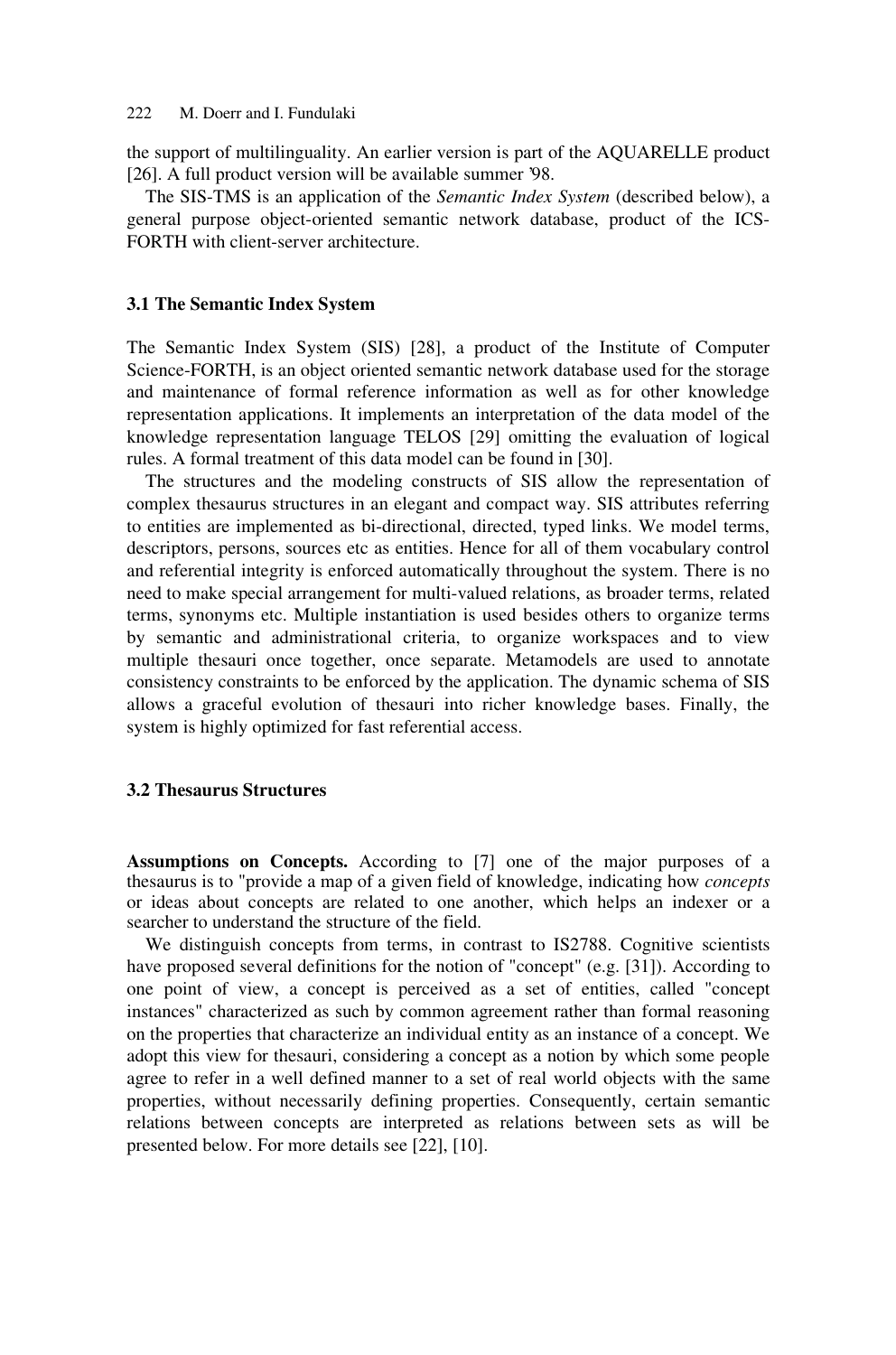the support of multilinguality. An earlier version is part of the AQUARELLE product [26]. A full product version will be available summer '98.

 The SIS-TMS is an application of the *Semantic Index System* (described below), a general purpose object-oriented semantic network database, product of the ICS-FORTH with client-server architecture.

#### **3.1 The Semantic Index System**

The Semantic Index System (SIS) [28], a product of the Institute of Computer Science-FORTH, is an object oriented semantic network database used for the storage and maintenance of formal reference information as well as for other knowledge representation applications. It implements an interpretation of the data model of the knowledge representation language TELOS [29] omitting the evaluation of logical rules. A formal treatment of this data model can be found in [30].

 The structures and the modeling constructs of SIS allow the representation of complex thesaurus structures in an elegant and compact way. SIS attributes referring to entities are implemented as bi-directional, directed, typed links. We model terms, descriptors, persons, sources etc as entities. Hence for all of them vocabulary control and referential integrity is enforced automatically throughout the system. There is no need to make special arrangement for multi-valued relations, as broader terms, related terms, synonyms etc. Multiple instantiation is used besides others to organize terms by semantic and administrational criteria, to organize workspaces and to view multiple thesauri once together, once separate. Metamodels are used to annotate consistency constraints to be enforced by the application. The dynamic schema of SIS allows a graceful evolution of thesauri into richer knowledge bases. Finally, the system is highly optimized for fast referential access.

#### **3.2 Thesaurus Structures**

**Assumptions on Concepts.** According to [7] one of the major purposes of a thesaurus is to "provide a map of a given field of knowledge, indicating how *concepts* or ideas about concepts are related to one another, which helps an indexer or a searcher to understand the structure of the field.

 We distinguish concepts from terms, in contrast to IS2788. Cognitive scientists have proposed several definitions for the notion of "concept" (e.g. [31]). According to one point of view, a concept is perceived as a set of entities, called "concept instances" characterized as such by common agreement rather than formal reasoning on the properties that characterize an individual entity as an instance of a concept. We adopt this view for thesauri, considering a concept as a notion by which some people agree to refer in a well defined manner to a set of real world objects with the same properties, without necessarily defining properties. Consequently, certain semantic relations between concepts are interpreted as relations between sets as will be presented below. For more details see [22], [10].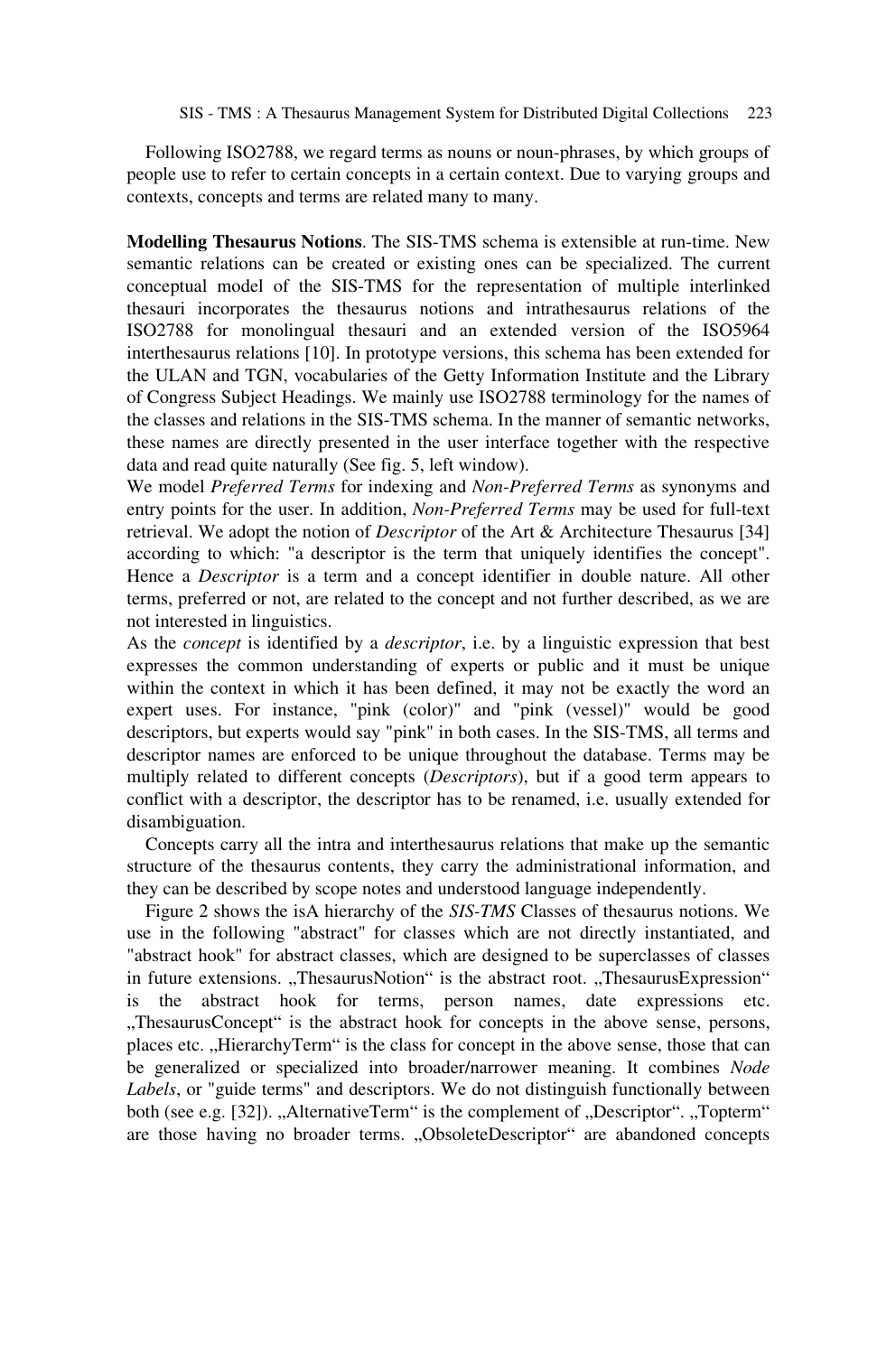Following ISO2788, we regard terms as nouns or noun-phrases, by which groups of people use to refer to certain concepts in a certain context. Due to varying groups and contexts, concepts and terms are related many to many.

**Modelling Thesaurus Notions**. The SIS-TMS schema is extensible at run-time. New semantic relations can be created or existing ones can be specialized. The current conceptual model of the SIS-TMS for the representation of multiple interlinked thesauri incorporates the thesaurus notions and intrathesaurus relations of the ISO2788 for monolingual thesauri and an extended version of the ISO5964 interthesaurus relations [10]. In prototype versions, this schema has been extended for the ULAN and TGN, vocabularies of the Getty Information Institute and the Library of Congress Subject Headings. We mainly use ISO2788 terminology for the names of the classes and relations in the SIS-TMS schema. In the manner of semantic networks, these names are directly presented in the user interface together with the respective data and read quite naturally (See fig. 5, left window).

We model *Preferred Terms* for indexing and *Non-Preferred Terms* as synonyms and entry points for the user. In addition, *Non-Preferred Terms* may be used for full-text retrieval. We adopt the notion of *Descriptor* of the Art & Architecture Thesaurus [34] according to which: "a descriptor is the term that uniquely identifies the concept". Hence a *Descriptor* is a term and a concept identifier in double nature. All other terms, preferred or not, are related to the concept and not further described, as we are not interested in linguistics.

As the *concept* is identified by a *descriptor*, i.e. by a linguistic expression that best expresses the common understanding of experts or public and it must be unique within the context in which it has been defined, it may not be exactly the word an expert uses. For instance, "pink (color)" and "pink (vessel)" would be good descriptors, but experts would say "pink" in both cases. In the SIS-TMS, all terms and descriptor names are enforced to be unique throughout the database. Terms may be multiply related to different concepts (*Descriptors*), but if a good term appears to conflict with a descriptor, the descriptor has to be renamed, i.e. usually extended for disambiguation.

 Concepts carry all the intra and interthesaurus relations that make up the semantic structure of the thesaurus contents, they carry the administrational information, and they can be described by scope notes and understood language independently.

 Figure 2 shows the isA hierarchy of the *SIS-TMS* Classes of thesaurus notions. We use in the following "abstract" for classes which are not directly instantiated, and "abstract hook" for abstract classes, which are designed to be superclasses of classes in future extensions. "ThesaurusNotion" is the abstract root. "ThesaurusExpression" is the abstract hook for terms, person names, date expressions etc. "ThesaurusConcept" is the abstract hook for concepts in the above sense, persons, places etc. "HierarchyTerm" is the class for concept in the above sense, those that can be generalized or specialized into broader/narrower meaning. It combines *Node Labels*, or "guide terms" and descriptors. We do not distinguish functionally between both (see e.g. [32]). "AlternativeTerm" is the complement of "Descriptor". "Topterm" are those having no broader terms. "ObsoleteDescriptor" are abandoned concepts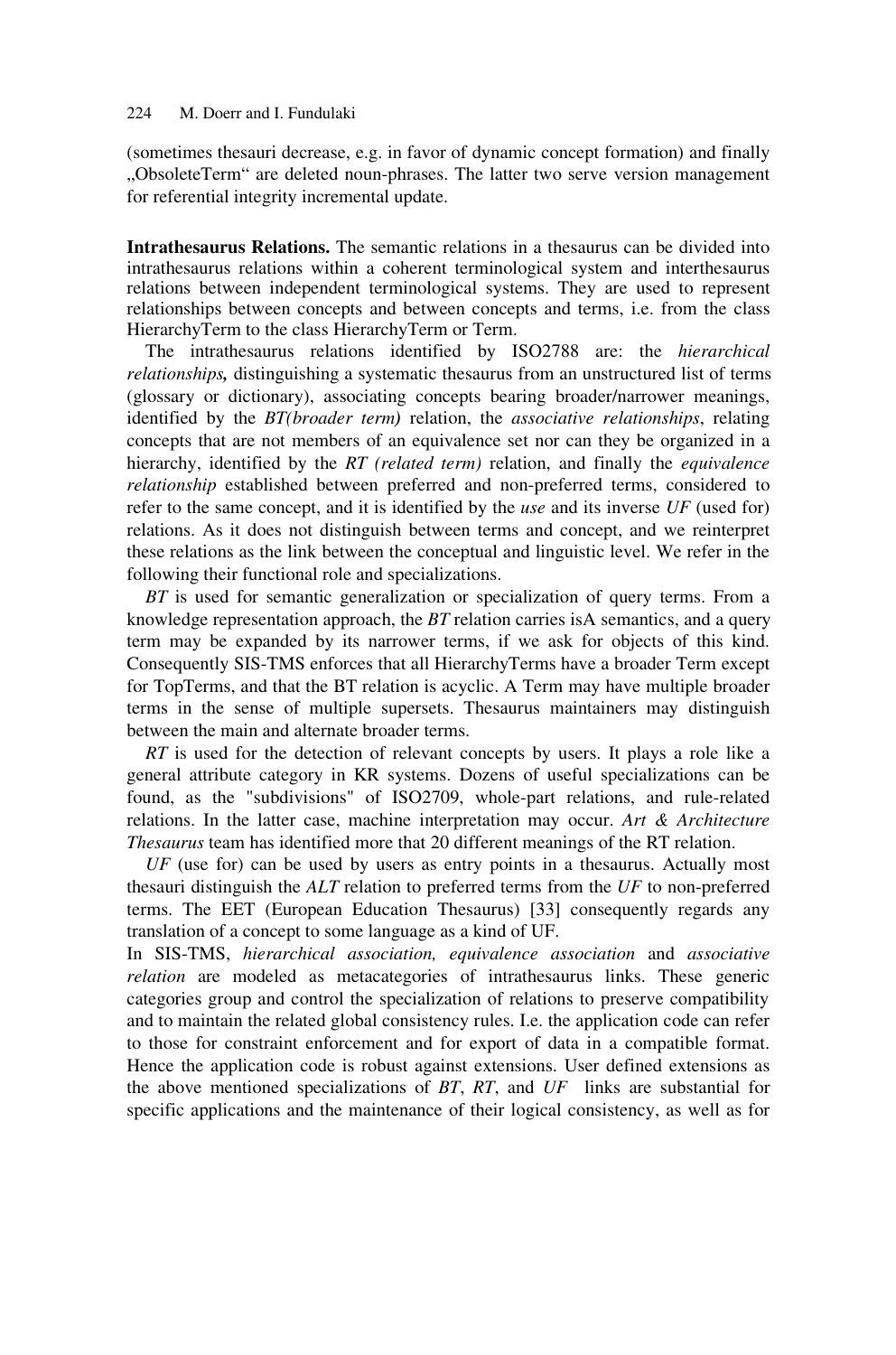(sometimes thesauri decrease, e.g. in favor of dynamic concept formation) and finally "ObsoleteTerm" are deleted noun-phrases. The latter two serve version management for referential integrity incremental update.

**Intrathesaurus Relations.** The semantic relations in a thesaurus can be divided into intrathesaurus relations within a coherent terminological system and interthesaurus relations between independent terminological systems. They are used to represent relationships between concepts and between concepts and terms, i.e. from the class HierarchyTerm to the class HierarchyTerm or Term.

 The intrathesaurus relations identified by ISO2788 are: the *hierarchical relationships,* distinguishing a systematic thesaurus from an unstructured list of terms (glossary or dictionary), associating concepts bearing broader/narrower meanings, identified by the *BT(broader term)* relation, the *associative relationships*, relating concepts that are not members of an equivalence set nor can they be organized in a hierarchy, identified by the *RT (related term)* relation, and finally the *equivalence relationship* established between preferred and non-preferred terms, considered to refer to the same concept, and it is identified by the *use* and its inverse *UF* (used for) relations. As it does not distinguish between terms and concept, and we reinterpret these relations as the link between the conceptual and linguistic level. We refer in the following their functional role and specializations.

*BT* is used for semantic generalization or specialization of query terms. From a knowledge representation approach, the *BT* relation carries isA semantics, and a query term may be expanded by its narrower terms, if we ask for objects of this kind. Consequently SIS-TMS enforces that all HierarchyTerms have a broader Term except for TopTerms, and that the BT relation is acyclic. A Term may have multiple broader terms in the sense of multiple supersets. Thesaurus maintainers may distinguish between the main and alternate broader terms.

*RT* is used for the detection of relevant concepts by users. It plays a role like a general attribute category in KR systems. Dozens of useful specializations can be found, as the "subdivisions" of ISO2709, whole-part relations, and rule-related relations. In the latter case, machine interpretation may occur. *Art & Architecture Thesaurus* team has identified more that 20 different meanings of the RT relation.

 *UF* (use for) can be used by users as entry points in a thesaurus. Actually most thesauri distinguish the *ALT* relation to preferred terms from the *UF* to non-preferred terms. The EET (European Education Thesaurus) [33] consequently regards any translation of a concept to some language as a kind of UF.

In SIS-TMS, *hierarchical association, equivalence association* and *associative relation* are modeled as metacategories of intrathesaurus links. These generic categories group and control the specialization of relations to preserve compatibility and to maintain the related global consistency rules. I.e. the application code can refer to those for constraint enforcement and for export of data in a compatible format. Hence the application code is robust against extensions. User defined extensions as the above mentioned specializations of *BT*, *RT*, and *UF* links are substantial for specific applications and the maintenance of their logical consistency, as well as for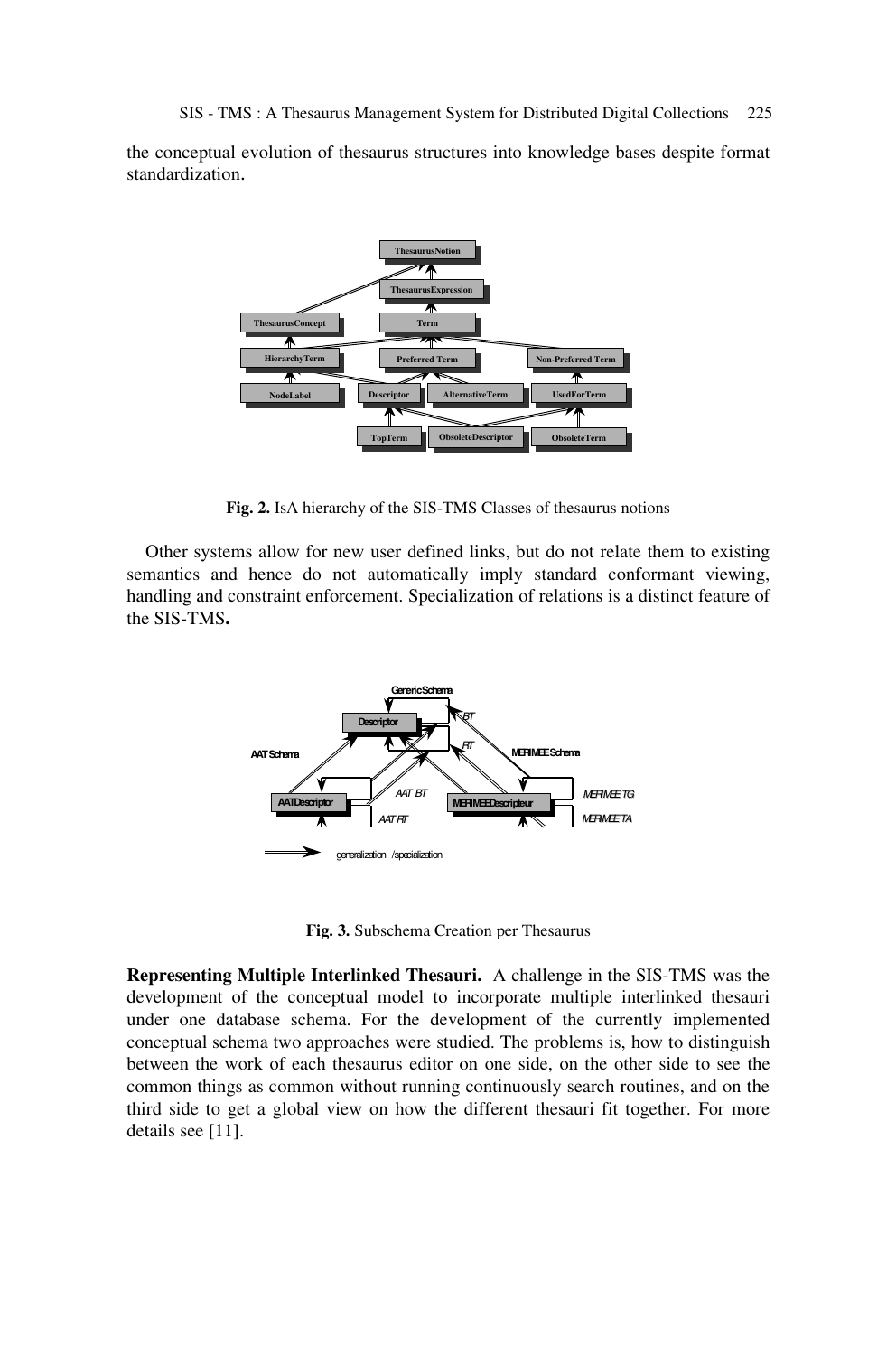SIS - TMS : A Thesaurus Management System for Distributed Digital Collections 225

the conceptual evolution of thesaurus structures into knowledge bases despite format standardization.



**Fig. 2.** IsA hierarchy of the SIS-TMS Classes of thesaurus notions

 Other systems allow for new user defined links, but do not relate them to existing semantics and hence do not automatically imply standard conformant viewing, handling and constraint enforcement. Specialization of relations is a distinct feature of the SIS-TMS**.**



**Fig. 3.** Subschema Creation per Thesaurus

**Representing Multiple Interlinked Thesauri.** A challenge in the SIS-TMS was the development of the conceptual model to incorporate multiple interlinked thesauri under one database schema. For the development of the currently implemented conceptual schema two approaches were studied. The problems is, how to distinguish between the work of each thesaurus editor on one side, on the other side to see the common things as common without running continuously search routines, and on the third side to get a global view on how the different thesauri fit together. For more details see [11].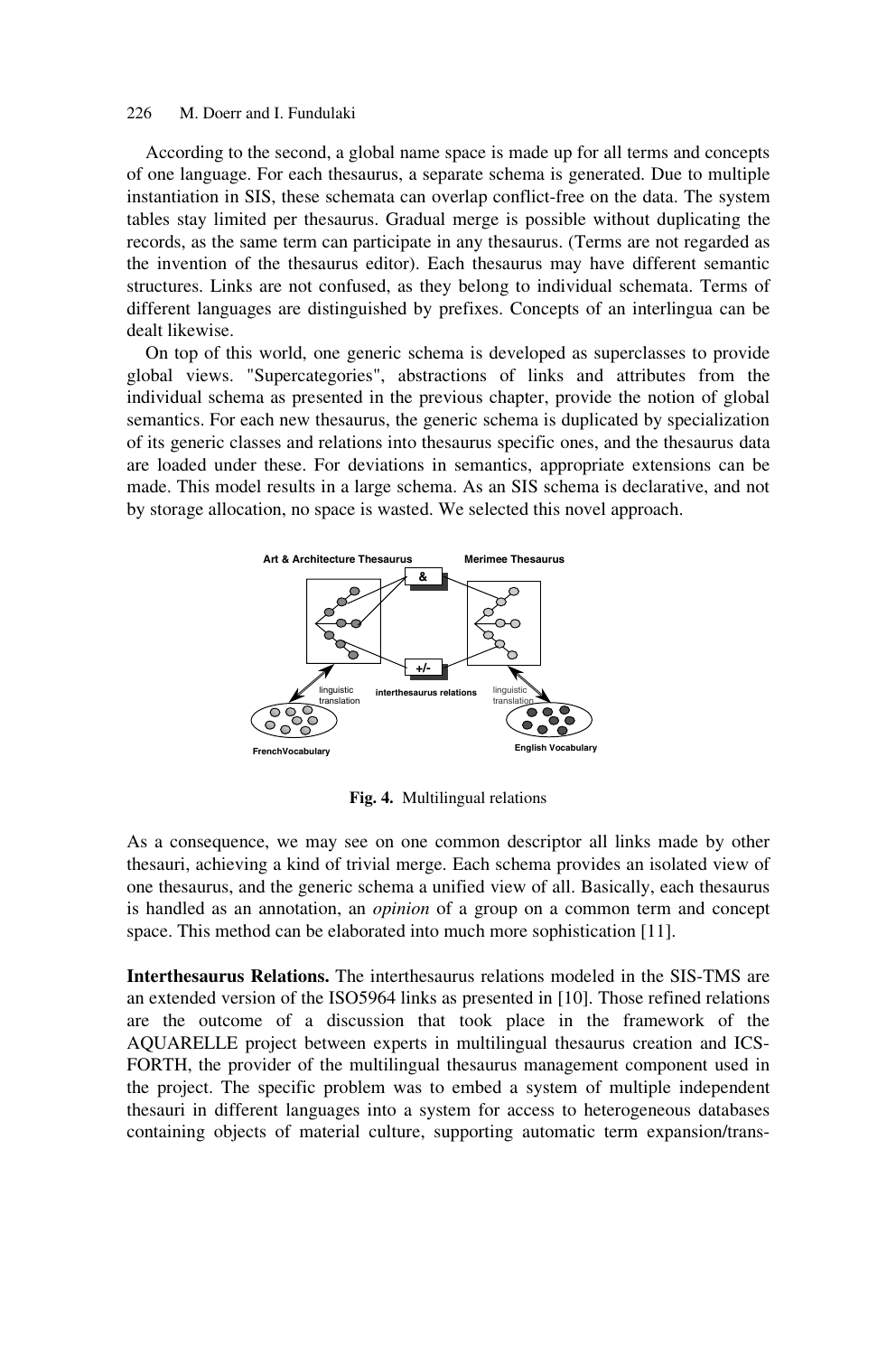According to the second, a global name space is made up for all terms and concepts of one language. For each thesaurus, a separate schema is generated. Due to multiple instantiation in SIS, these schemata can overlap conflict-free on the data. The system tables stay limited per thesaurus. Gradual merge is possible without duplicating the records, as the same term can participate in any thesaurus. (Terms are not regarded as the invention of the thesaurus editor). Each thesaurus may have different semantic structures. Links are not confused, as they belong to individual schemata. Terms of different languages are distinguished by prefixes. Concepts of an interlingua can be dealt likewise.

 On top of this world, one generic schema is developed as superclasses to provide global views. "Supercategories", abstractions of links and attributes from the individual schema as presented in the previous chapter, provide the notion of global semantics. For each new thesaurus, the generic schema is duplicated by specialization of its generic classes and relations into thesaurus specific ones, and the thesaurus data are loaded under these. For deviations in semantics, appropriate extensions can be made. This model results in a large schema. As an SIS schema is declarative, and not by storage allocation, no space is wasted. We selected this novel approach.



**Fig. 4.** Multilingual relations

As a consequence, we may see on one common descriptor all links made by other thesauri, achieving a kind of trivial merge. Each schema provides an isolated view of one thesaurus, and the generic schema a unified view of all. Basically, each thesaurus is handled as an annotation, an *opinion* of a group on a common term and concept space. This method can be elaborated into much more sophistication [11].

**Interthesaurus Relations.** The interthesaurus relations modeled in the SIS-TMS are an extended version of the ISO5964 links as presented in [10]. Those refined relations are the outcome of a discussion that took place in the framework of the AQUARELLE project between experts in multilingual thesaurus creation and ICS-FORTH, the provider of the multilingual thesaurus management component used in the project. The specific problem was to embed a system of multiple independent thesauri in different languages into a system for access to heterogeneous databases containing objects of material culture, supporting automatic term expansion/trans-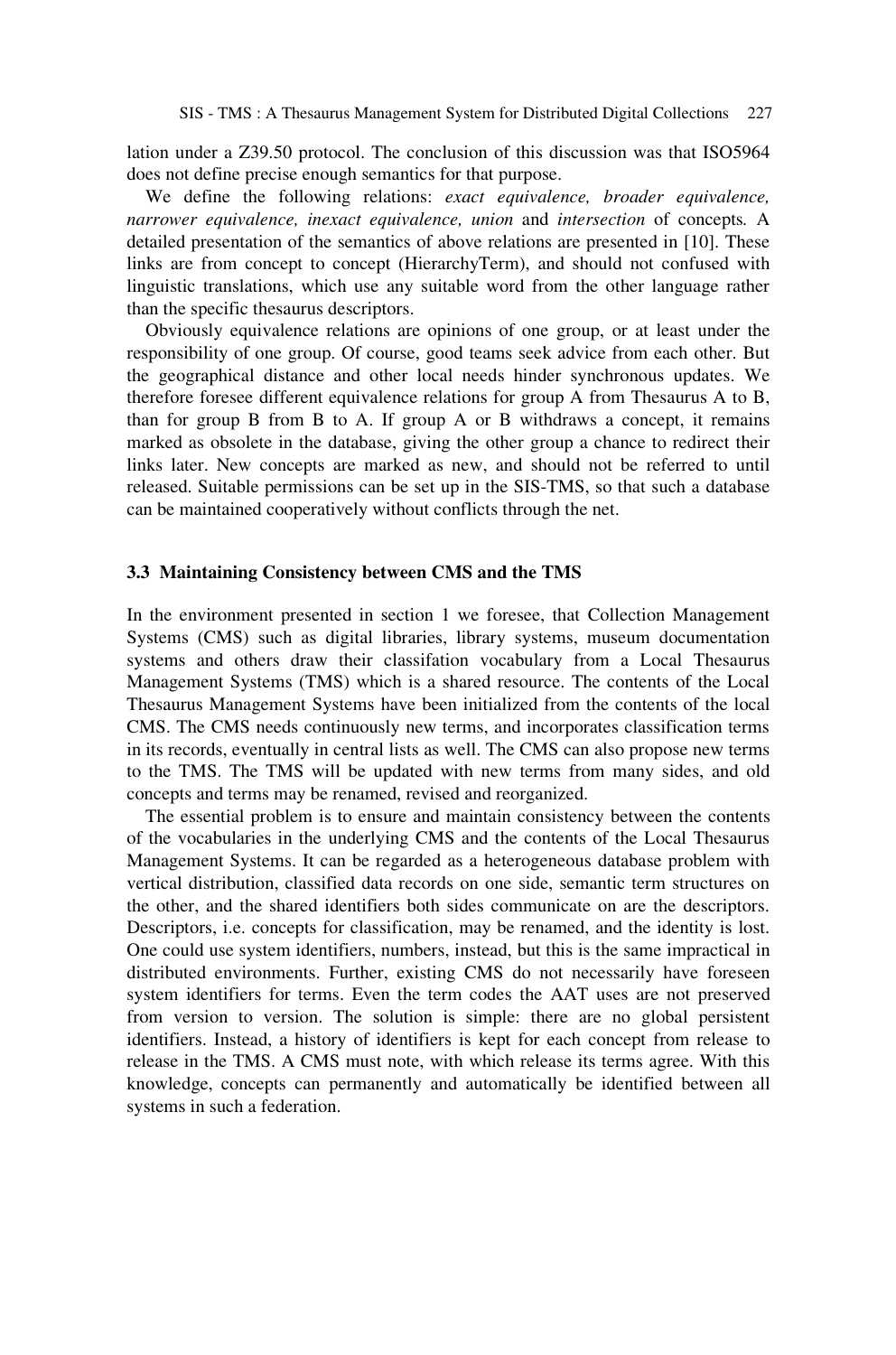lation under a Z39.50 protocol. The conclusion of this discussion was that ISO5964 does not define precise enough semantics for that purpose.

 We define the following relations: *exact equivalence, broader equivalence, narrower equivalence, inexact equivalence, union* and *intersection* of concepts*.* A detailed presentation of the semantics of above relations are presented in [10]. These links are from concept to concept (HierarchyTerm), and should not confused with linguistic translations, which use any suitable word from the other language rather than the specific thesaurus descriptors.

 Obviously equivalence relations are opinions of one group, or at least under the responsibility of one group. Of course, good teams seek advice from each other. But the geographical distance and other local needs hinder synchronous updates. We therefore foresee different equivalence relations for group A from Thesaurus A to B, than for group B from B to A. If group A or B withdraws a concept, it remains marked as obsolete in the database, giving the other group a chance to redirect their links later. New concepts are marked as new, and should not be referred to until released. Suitable permissions can be set up in the SIS-TMS, so that such a database can be maintained cooperatively without conflicts through the net.

### **3.3 Maintaining Consistency between CMS and the TMS**

In the environment presented in section 1 we foresee, that Collection Management Systems (CMS) such as digital libraries, library systems, museum documentation systems and others draw their classifation vocabulary from a Local Thesaurus Management Systems (TMS) which is a shared resource. The contents of the Local Thesaurus Management Systems have been initialized from the contents of the local CMS. The CMS needs continuously new terms, and incorporates classification terms in its records, eventually in central lists as well. The CMS can also propose new terms to the TMS. The TMS will be updated with new terms from many sides, and old concepts and terms may be renamed, revised and reorganized.

 The essential problem is to ensure and maintain consistency between the contents of the vocabularies in the underlying CMS and the contents of the Local Thesaurus Management Systems. It can be regarded as a heterogeneous database problem with vertical distribution, classified data records on one side, semantic term structures on the other, and the shared identifiers both sides communicate on are the descriptors. Descriptors, i.e. concepts for classification, may be renamed, and the identity is lost. One could use system identifiers, numbers, instead, but this is the same impractical in distributed environments. Further, existing CMS do not necessarily have foreseen system identifiers for terms. Even the term codes the AAT uses are not preserved from version to version. The solution is simple: there are no global persistent identifiers. Instead, a history of identifiers is kept for each concept from release to release in the TMS. A CMS must note, with which release its terms agree. With this knowledge, concepts can permanently and automatically be identified between all systems in such a federation.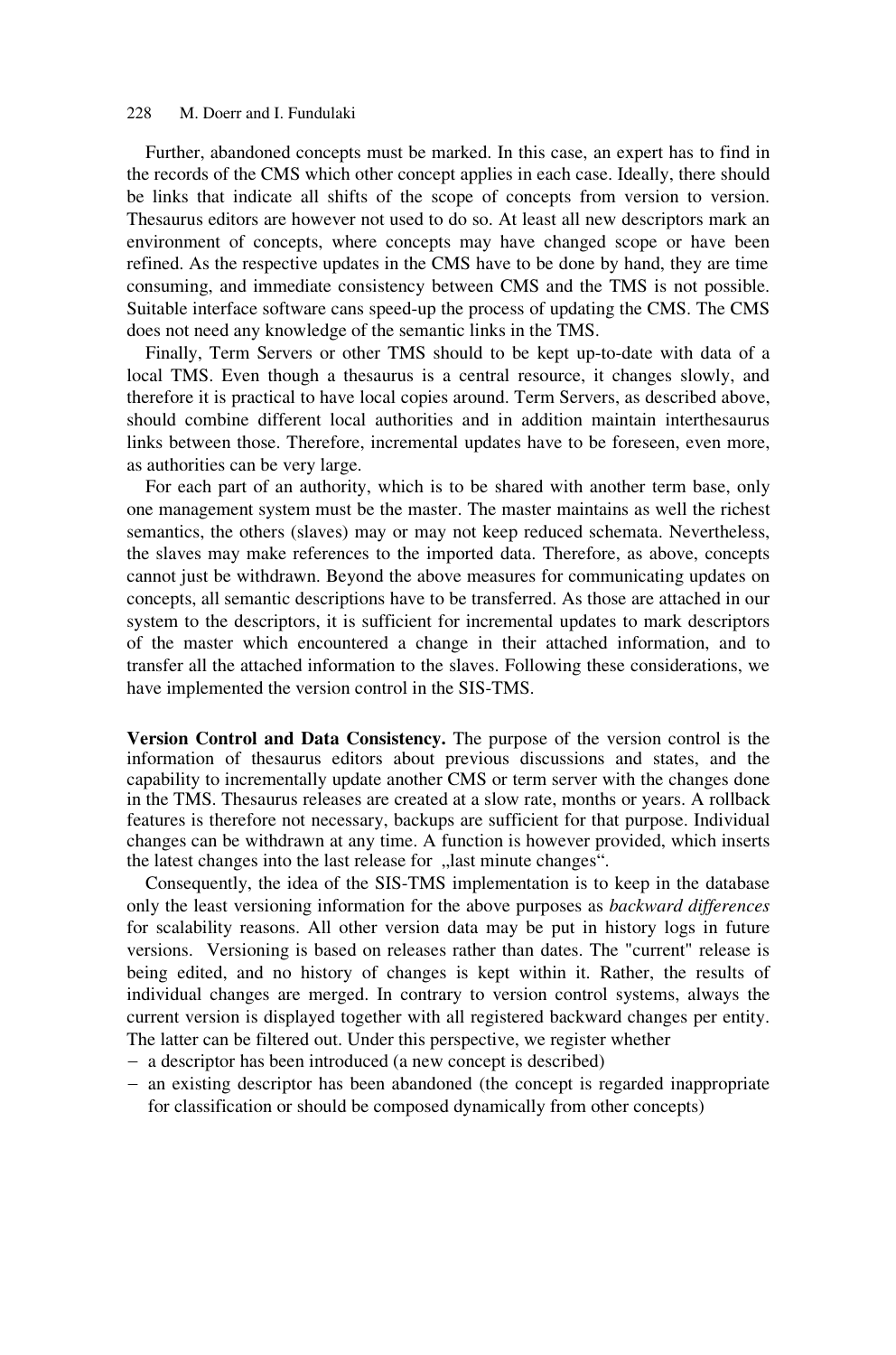Further, abandoned concepts must be marked. In this case, an expert has to find in the records of the CMS which other concept applies in each case. Ideally, there should be links that indicate all shifts of the scope of concepts from version to version. Thesaurus editors are however not used to do so. At least all new descriptors mark an environment of concepts, where concepts may have changed scope or have been refined. As the respective updates in the CMS have to be done by hand, they are time consuming, and immediate consistency between CMS and the TMS is not possible. Suitable interface software cans speed-up the process of updating the CMS. The CMS does not need any knowledge of the semantic links in the TMS.

 Finally, Term Servers or other TMS should to be kept up-to-date with data of a local TMS. Even though a thesaurus is a central resource, it changes slowly, and therefore it is practical to have local copies around. Term Servers, as described above, should combine different local authorities and in addition maintain interthesaurus links between those. Therefore, incremental updates have to be foreseen, even more, as authorities can be very large.

 For each part of an authority, which is to be shared with another term base, only one management system must be the master. The master maintains as well the richest semantics, the others (slaves) may or may not keep reduced schemata. Nevertheless, the slaves may make references to the imported data. Therefore, as above, concepts cannot just be withdrawn. Beyond the above measures for communicating updates on concepts, all semantic descriptions have to be transferred. As those are attached in our system to the descriptors, it is sufficient for incremental updates to mark descriptors of the master which encountered a change in their attached information, and to transfer all the attached information to the slaves. Following these considerations, we have implemented the version control in the SIS-TMS.

**Version Control and Data Consistency.** The purpose of the version control is the information of thesaurus editors about previous discussions and states, and the capability to incrementally update another CMS or term server with the changes done in the TMS. Thesaurus releases are created at a slow rate, months or years. A rollback features is therefore not necessary, backups are sufficient for that purpose. Individual changes can be withdrawn at any time. A function is however provided, which inserts the latest changes into the last release for "last minute changes".

 Consequently, the idea of the SIS-TMS implementation is to keep in the database only the least versioning information for the above purposes as *backward differences* for scalability reasons. All other version data may be put in history logs in future versions. Versioning is based on releases rather than dates. The "current" release is being edited, and no history of changes is kept within it. Rather, the results of individual changes are merged. In contrary to version control systems, always the current version is displayed together with all registered backward changes per entity. The latter can be filtered out. Under this perspective, we register whether

- a descriptor has been introduced (a new concept is described)
- an existing descriptor has been abandoned (the concept is regarded inappropriate for classification or should be composed dynamically from other concepts)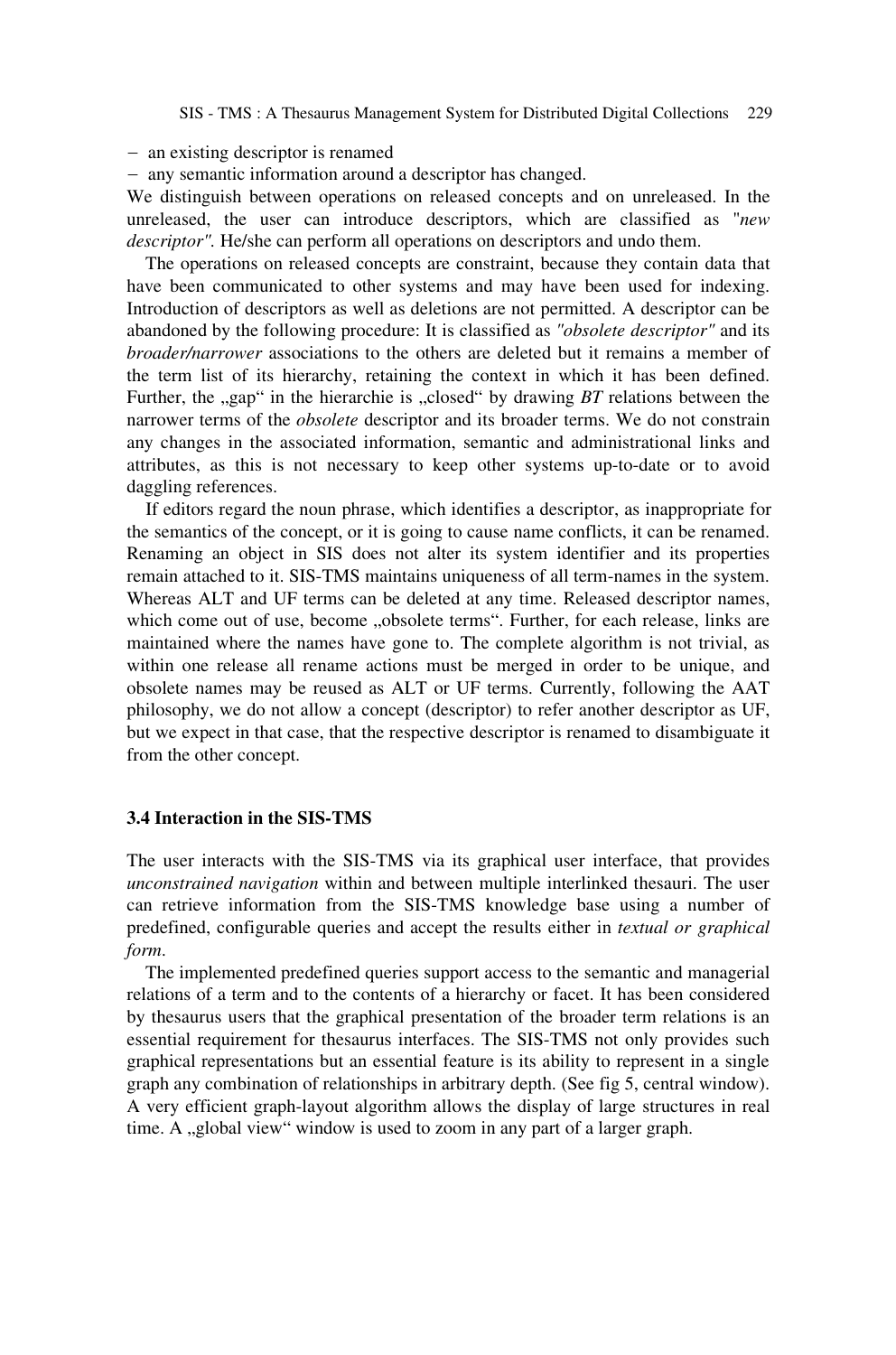SIS - TMS : A Thesaurus Management System for Distributed Digital Collections 229

- an existing descriptor is renamed

- any semantic information around a descriptor has changed.

We distinguish between operations on released concepts and on unreleased. In the unreleased, the user can introduce descriptors, which are classified as "*new descriptor".* He/she can perform all operations on descriptors and undo them.

 The operations on released concepts are constraint, because they contain data that have been communicated to other systems and may have been used for indexing. Introduction of descriptors as well as deletions are not permitted. A descriptor can be abandoned by the following procedure: It is classified as *"obsolete descriptor"* and its *broader/narrower* associations to the others are deleted but it remains a member of the term list of its hierarchy, retaining the context in which it has been defined. Further, the "gap" in the hierarchie is "closed" by drawing *BT* relations between the narrower terms of the *obsolete* descriptor and its broader terms. We do not constrain any changes in the associated information, semantic and administrational links and attributes, as this is not necessary to keep other systems up-to-date or to avoid daggling references.

 If editors regard the noun phrase, which identifies a descriptor, as inappropriate for the semantics of the concept, or it is going to cause name conflicts, it can be renamed. Renaming an object in SIS does not alter its system identifier and its properties remain attached to it. SIS-TMS maintains uniqueness of all term-names in the system. Whereas ALT and UF terms can be deleted at any time. Released descriptor names, which come out of use, become "obsolete terms". Further, for each release, links are maintained where the names have gone to. The complete algorithm is not trivial, as within one release all rename actions must be merged in order to be unique, and obsolete names may be reused as ALT or UF terms. Currently, following the AAT philosophy, we do not allow a concept (descriptor) to refer another descriptor as UF, but we expect in that case, that the respective descriptor is renamed to disambiguate it from the other concept.

#### **3.4 Interaction in the SIS-TMS**

The user interacts with the SIS-TMS via its graphical user interface, that provides *unconstrained navigation* within and between multiple interlinked thesauri. The user can retrieve information from the SIS-TMS knowledge base using a number of predefined, configurable queries and accept the results either in *textual or graphical form*.

 The implemented predefined queries support access to the semantic and managerial relations of a term and to the contents of a hierarchy or facet. It has been considered by thesaurus users that the graphical presentation of the broader term relations is an essential requirement for thesaurus interfaces. The SIS-TMS not only provides such graphical representations but an essential feature is its ability to represent in a single graph any combination of relationships in arbitrary depth. (See fig 5, central window). A very efficient graph-layout algorithm allows the display of large structures in real time. A "global view" window is used to zoom in any part of a larger graph.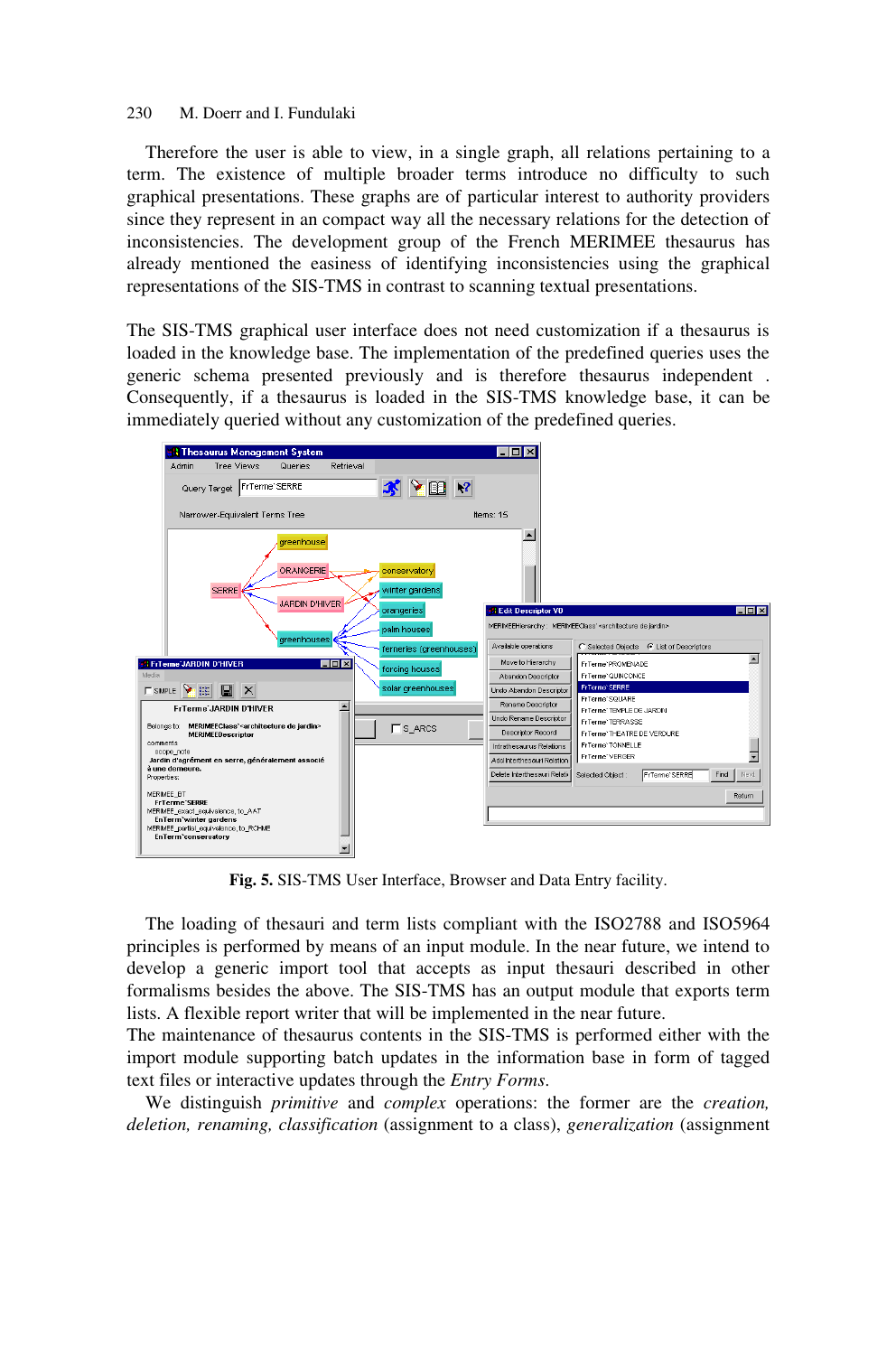Therefore the user is able to view, in a single graph, all relations pertaining to a term. The existence of multiple broader terms introduce no difficulty to such graphical presentations. These graphs are of particular interest to authority providers since they represent in an compact way all the necessary relations for the detection of inconsistencies. The development group of the French MERIMEE thesaurus has already mentioned the easiness of identifying inconsistencies using the graphical representations of the SIS-TMS in contrast to scanning textual presentations.

The SIS-TMS graphical user interface does not need customization if a thesaurus is loaded in the knowledge base. The implementation of the predefined queries uses the generic schema presented previously and is therefore thesaurus independent . Consequently, if a thesaurus is loaded in the SIS-TMS knowledge base, it can be immediately queried without any customization of the predefined queries.



**Fig. 5.** SIS-TMS User Interface, Browser and Data Entry facility.

 The loading of thesauri and term lists compliant with the ISO2788 and ISO5964 principles is performed by means of an input module. In the near future, we intend to develop a generic import tool that accepts as input thesauri described in other formalisms besides the above. The SIS-TMS has an output module that exports term lists. A flexible report writer that will be implemented in the near future.

The maintenance of thesaurus contents in the SIS-TMS is performed either with the import module supporting batch updates in the information base in form of tagged text files or interactive updates through the *Entry Forms*.

 We distinguish *primitive* and *complex* operations: the former are the *creation, deletion, renaming, classification* (assignment to a class), *generalization* (assignment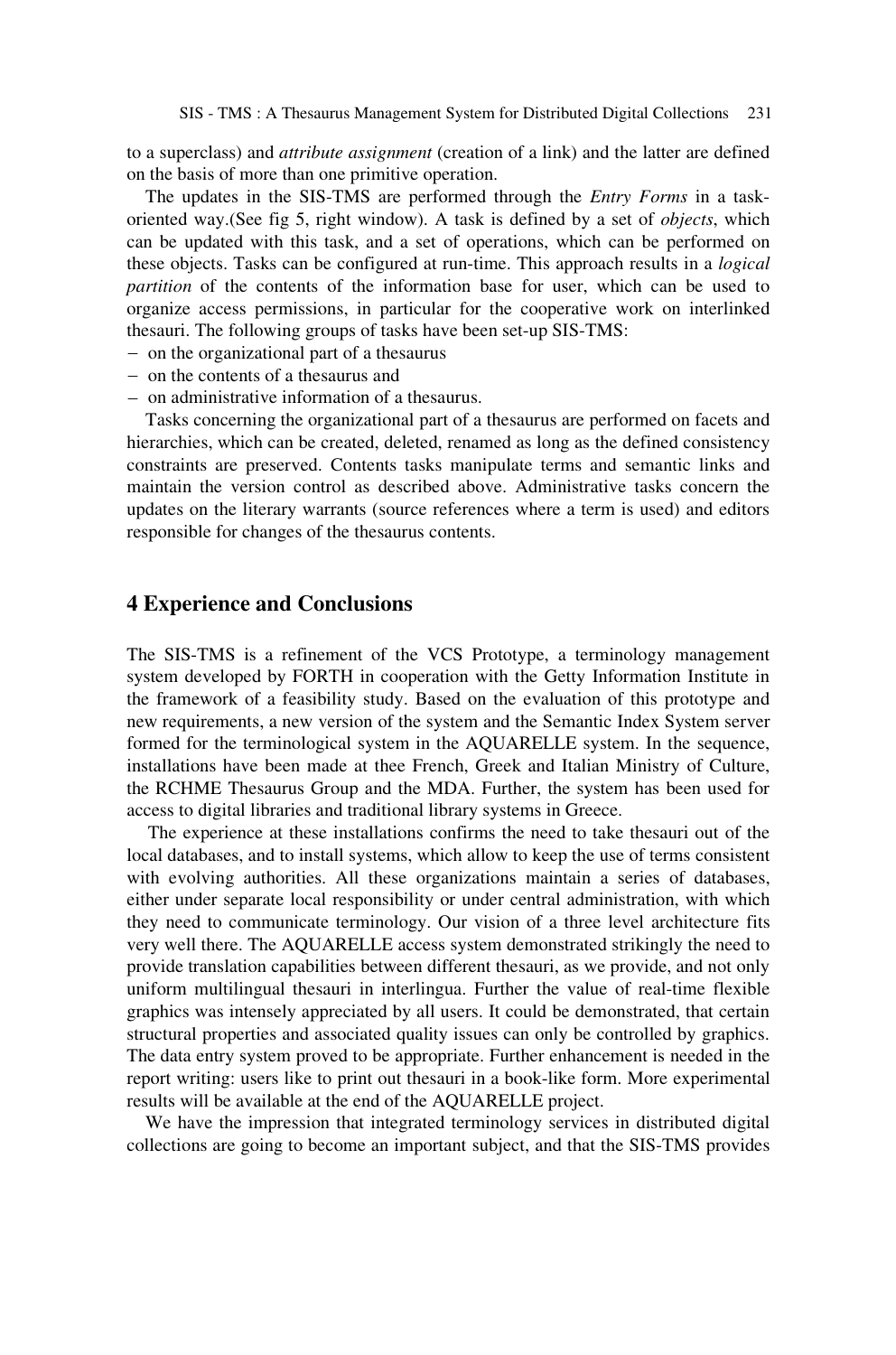to a superclass) and *attribute assignment* (creation of a link) and the latter are defined on the basis of more than one primitive operation.

 The updates in the SIS-TMS are performed through the *Entry Forms* in a taskoriented way.(See fig 5, right window). A task is defined by a set of *objects*, which can be updated with this task, and a set of operations, which can be performed on these objects. Tasks can be configured at run-time. This approach results in a *logical partition* of the contents of the information base for user, which can be used to organize access permissions, in particular for the cooperative work on interlinked thesauri. The following groups of tasks have been set-up SIS-TMS:

- on the organizational part of a thesaurus
- on the contents of a thesaurus and
- on administrative information of a thesaurus.

 Tasks concerning the organizational part of a thesaurus are performed on facets and hierarchies, which can be created, deleted, renamed as long as the defined consistency constraints are preserved. Contents tasks manipulate terms and semantic links and maintain the version control as described above. Administrative tasks concern the updates on the literary warrants (source references where a term is used) and editors responsible for changes of the thesaurus contents.

### **4 Experience and Conclusions**

The SIS-TMS is a refinement of the VCS Prototype, a terminology management system developed by FORTH in cooperation with the Getty Information Institute in the framework of a feasibility study. Based on the evaluation of this prototype and new requirements, a new version of the system and the Semantic Index System server formed for the terminological system in the AQUARELLE system. In the sequence, installations have been made at thee French, Greek and Italian Ministry of Culture, the RCHME Thesaurus Group and the MDA. Further, the system has been used for access to digital libraries and traditional library systems in Greece.

The experience at these installations confirms the need to take thesauri out of the local databases, and to install systems, which allow to keep the use of terms consistent with evolving authorities. All these organizations maintain a series of databases, either under separate local responsibility or under central administration, with which they need to communicate terminology. Our vision of a three level architecture fits very well there. The AQUARELLE access system demonstrated strikingly the need to provide translation capabilities between different thesauri, as we provide, and not only uniform multilingual thesauri in interlingua. Further the value of real-time flexible graphics was intensely appreciated by all users. It could be demonstrated, that certain structural properties and associated quality issues can only be controlled by graphics. The data entry system proved to be appropriate. Further enhancement is needed in the report writing: users like to print out thesauri in a book-like form. More experimental results will be available at the end of the AQUARELLE project.

 We have the impression that integrated terminology services in distributed digital collections are going to become an important subject, and that the SIS-TMS provides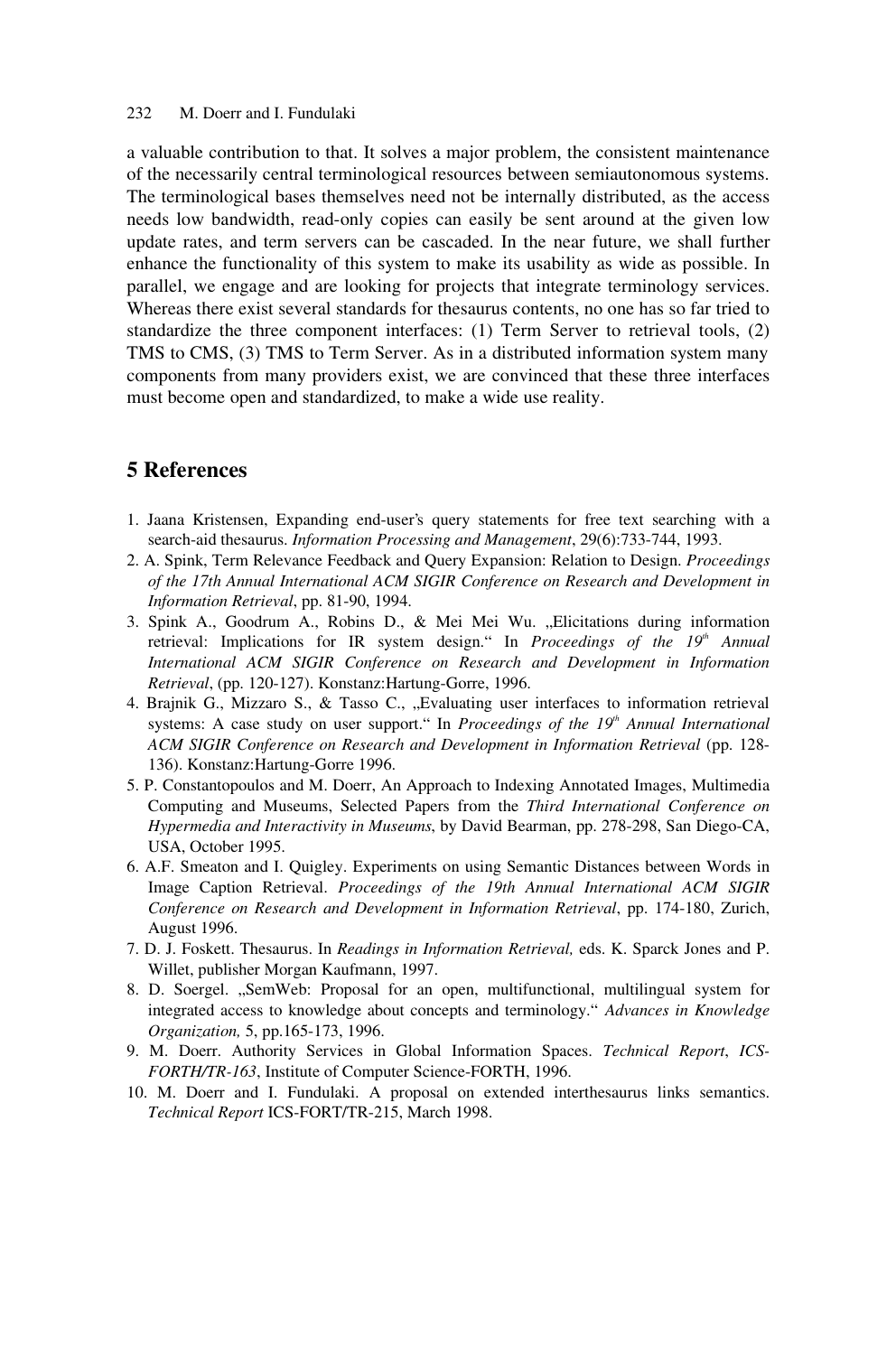a valuable contribution to that. It solves a major problem, the consistent maintenance of the necessarily central terminological resources between semiautonomous systems. The terminological bases themselves need not be internally distributed, as the access needs low bandwidth, read-only copies can easily be sent around at the given low update rates, and term servers can be cascaded. In the near future, we shall further enhance the functionality of this system to make its usability as wide as possible. In parallel, we engage and are looking for projects that integrate terminology services. Whereas there exist several standards for thesaurus contents, no one has so far tried to standardize the three component interfaces: (1) Term Server to retrieval tools, (2) TMS to CMS, (3) TMS to Term Server. As in a distributed information system many components from many providers exist, we are convinced that these three interfaces must become open and standardized, to make a wide use reality.

# **5 References**

- 1. Jaana Kristensen, Expanding end-user's query statements for free text searching with a search-aid thesaurus. *Information Processing and Management*, 29(6):733-744, 1993.
- 2. A. Spink, Term Relevance Feedback and Query Expansion: Relation to Design. *Proceedings of the 17th Annual International ACM SIGIR Conference on Research and Development in Information Retrieval*, pp. 81-90, 1994.
- 3. Spink A., Goodrum A., Robins D., & Mei Mei Wu. "Elicitations during information retrieval: Implications for IR system design." In *Proceedings of the 19<sup>th</sup> Annual International ACM SIGIR Conference on Research and Development in Information Retrieval*, (pp. 120-127). Konstanz:Hartung-Gorre, 1996.
- 4. Brajnik G., Mizzaro S., & Tasso C., "Evaluating user interfaces to information retrieval systems: A case study on user support." In *Proceedings of the*  $19<sup>th</sup>$  *Annual International ACM SIGIR Conference on Research and Development in Information Retrieval* (pp. 128- 136). Konstanz:Hartung-Gorre 1996.
- 5. P. Constantopoulos and M. Doerr, An Approach to Indexing Annotated Images, Multimedia Computing and Museums, Selected Papers from the *Third International Conference on Hypermedia and Interactivity in Museums*, by David Bearman, pp. 278-298, San Diego-CA, USA, October 1995.
- 6. A.F. Smeaton and I. Quigley. Experiments on using Semantic Distances between Words in Image Caption Retrieval. *Proceedings of the 19th Annual International ACM SIGIR Conference on Research and Development in Information Retrieval*, pp. 174-180, Zurich, August 1996.
- 7. D. J. Foskett. Thesaurus. In *Readings in Information Retrieval,* eds. K. Sparck Jones and P. Willet, publisher Morgan Kaufmann, 1997.
- 8. D. Soergel. "SemWeb: Proposal for an open, multifunctional, multilingual system for integrated access to knowledge about concepts and terminology." *Advances in Knowledge Organization,* 5, pp.165-173, 1996.
- 9. M. Doerr. Authority Services in Global Information Spaces. *Technical Report*, *ICS-FORTH/TR-163*, Institute of Computer Science-FORTH, 1996.
- 10. M. Doerr and I. Fundulaki. A proposal on extended interthesaurus links semantics. *Technical Report* ICS-FORT/TR-215, March 1998.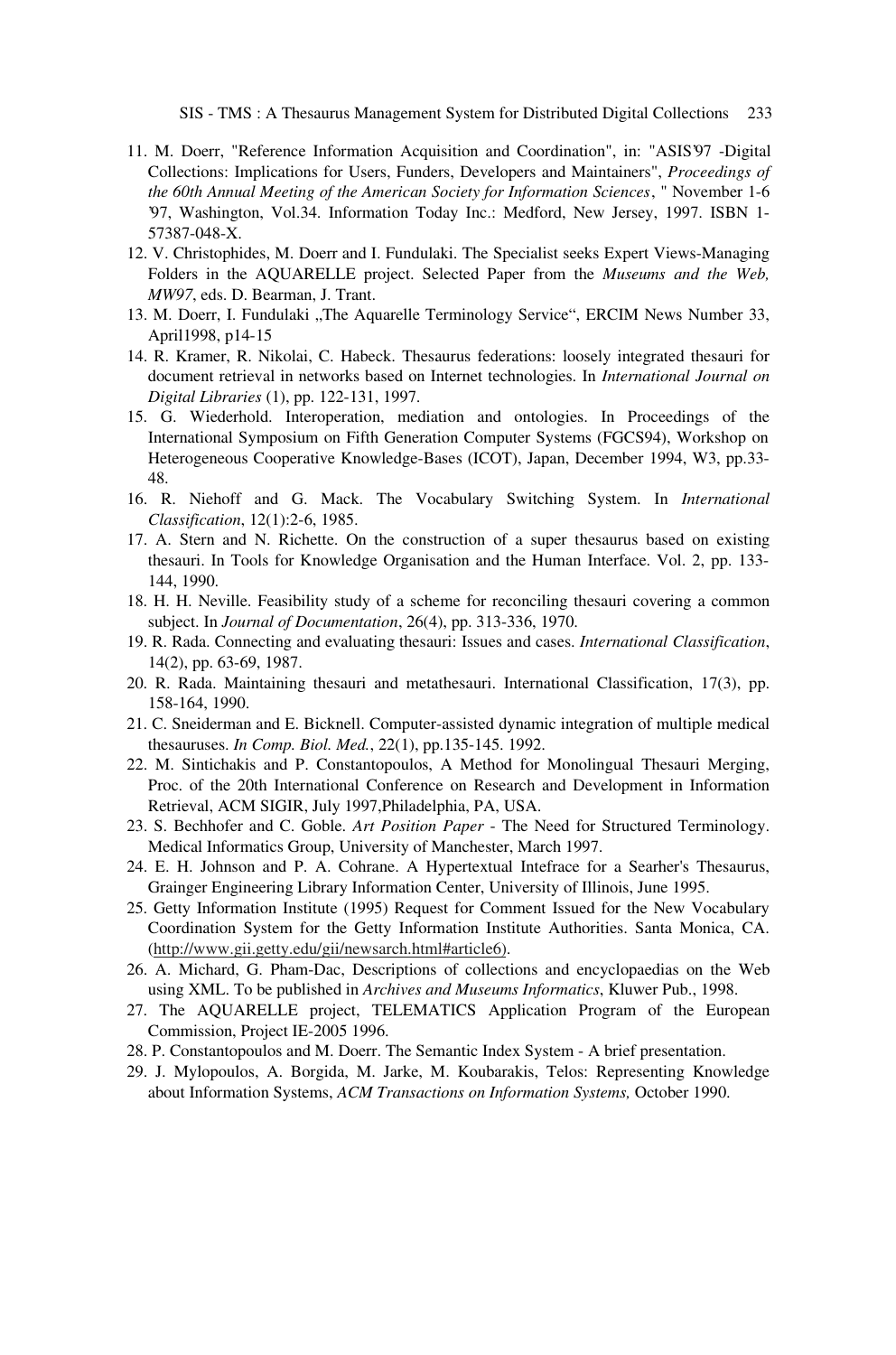SIS - TMS : A Thesaurus Management System for Distributed Digital Collections 233

- 11. M. Doerr, "Reference Information Acquisition and Coordination", in: "ASIS'97 -Digital Collections: Implications for Users, Funders, Developers and Maintainers", *Proceedings of the 60th Annual Meeting of the American Society for Information Sciences*, " November 1-6 '97, Washington, Vol.34. Information Today Inc.: Medford, New Jersey, 1997. ISBN 1- 57387-048-X.
- 12. V. Christophides, M. Doerr and I. Fundulaki. The Specialist seeks Expert Views-Managing Folders in the AQUARELLE project. Selected Paper from the *Museums and the Web, MW97*, eds. D. Bearman, J. Trant.
- 13. M. Doerr, I. Fundulaki "The Aquarelle Terminology Service", ERCIM News Number 33, April1998, p14-15
- 14. R. Kramer, R. Nikolai, C. Habeck. Thesaurus federations: loosely integrated thesauri for document retrieval in networks based on Internet technologies. In *International Journal on Digital Libraries* (1), pp. 122-131, 1997.
- 15. G. Wiederhold. Interoperation, mediation and ontologies. In Proceedings of the International Symposium on Fifth Generation Computer Systems (FGCS94), Workshop on Heterogeneous Cooperative Knowledge-Bases (ICOT), Japan, December 1994, W3, pp.33- 48.
- 16. R. Niehoff and G. Mack. The Vocabulary Switching System. In *International Classification*, 12(1):2-6, 1985.
- 17. A. Stern and N. Richette. On the construction of a super thesaurus based on existing thesauri. In Tools for Knowledge Organisation and the Human Interface. Vol. 2, pp. 133- 144, 1990.
- 18. H. H. Neville. Feasibility study of a scheme for reconciling thesauri covering a common subject. In *Journal of Documentation*, 26(4), pp. 313-336, 1970.
- 19. R. Rada. Connecting and evaluating thesauri: Issues and cases. *International Classification*, 14(2), pp. 63-69, 1987.
- 20. R. Rada. Maintaining thesauri and metathesauri. International Classification, 17(3), pp. 158-164, 1990.
- 21. C. Sneiderman and E. Bicknell. Computer-assisted dynamic integration of multiple medical thesauruses. *In Comp. Biol. Med.*, 22(1), pp.135-145. 1992.
- 22. M. Sintichakis and P. Constantopoulos, A Method for Monolingual Thesauri Merging, Proc. of the 20th International Conference on Research and Development in Information Retrieval, ACM SIGIR, July 1997,Philadelphia, PA, USA.
- 23. S. Bechhofer and C. Goble. *Art Position Paper* The Need for Structured Terminology. Medical Informatics Group, University of Manchester, March 1997.
- 24. E. H. Johnson and P. A. Cohrane. A Hypertextual Intefrace for a Searher's Thesaurus, Grainger Engineering Library Information Center, University of Illinois, June 1995.
- 25. Getty Information Institute (1995) Request for Comment Issued for the New Vocabulary Coordination System for the Getty Information Institute Authorities. Santa Monica, CA. (http://www.gii.getty.edu/gii/newsarch.html#article6).
- 26. A. Michard, G. Pham-Dac, Descriptions of collections and encyclopaedias on the Web using XML. To be published in *Archives and Museums Informatics*, Kluwer Pub., 1998.
- 27. The AQUARELLE project, TELEMATICS Application Program of the European Commission, Project IE-2005 1996.
- 28. P. Constantopoulos and M. Doerr. The Semantic Index System A brief presentation.
- 29. J. Mylopoulos, A. Borgida, M. Jarke, M. Koubarakis, Telos: Representing Knowledge about Information Systems, *ACM Transactions on Information Systems,* October 1990.